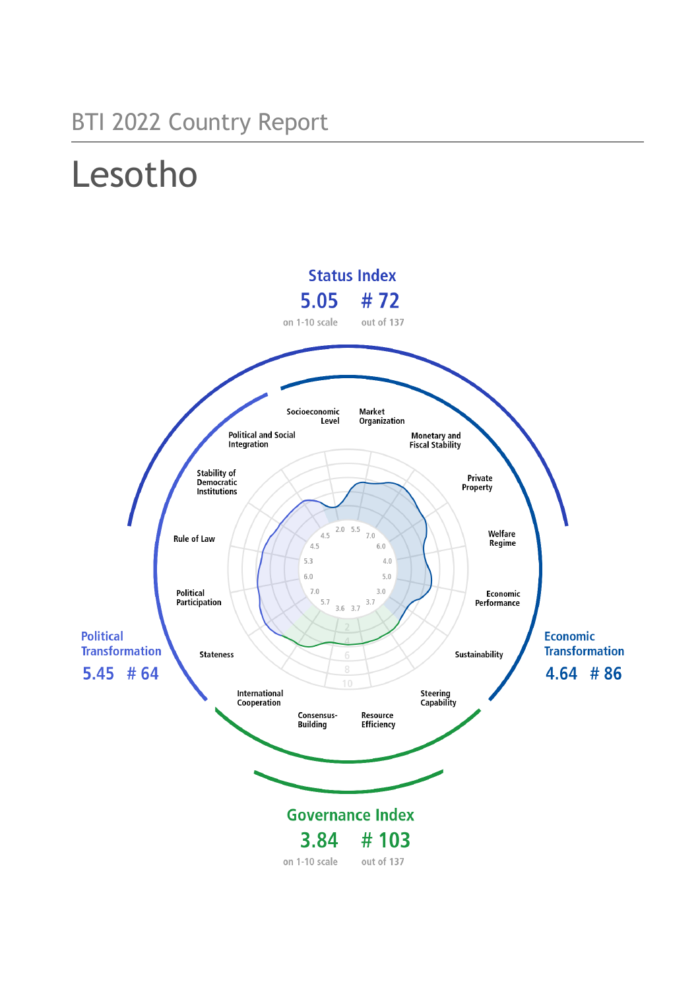## BTI 2022 Country Report

# Lesotho

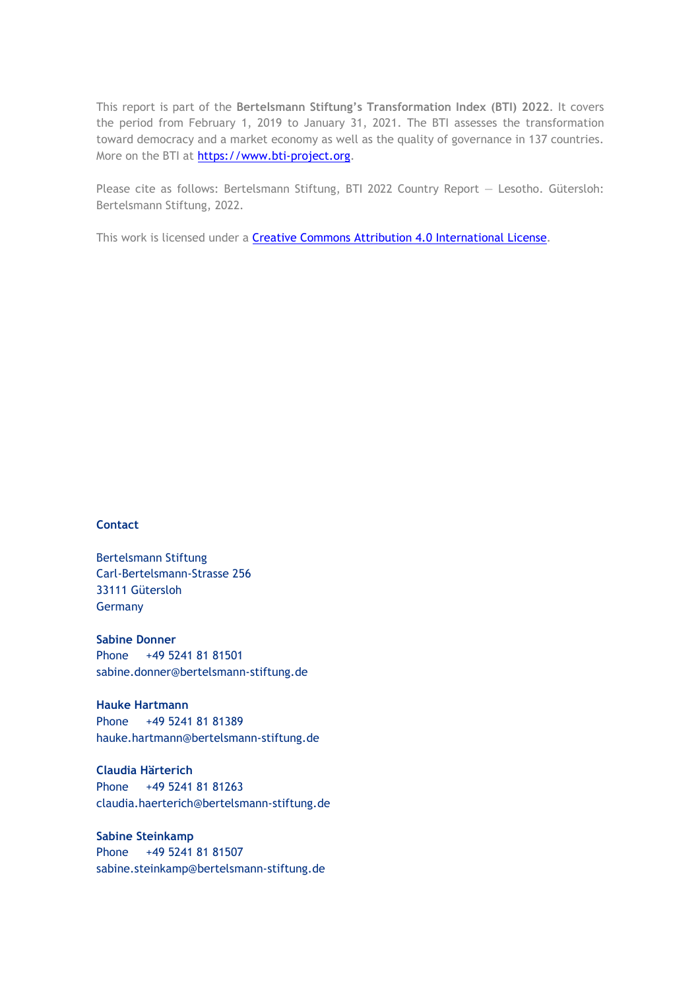This report is part of the **Bertelsmann Stiftung's Transformation Index (BTI) 2022**. It covers the period from February 1, 2019 to January 31, 2021. The BTI assesses the transformation toward democracy and a market economy as well as the quality of governance in 137 countries. More on the BTI at [https://www.bti-project.org.](https://www.bti-project.org/)

Please cite as follows: Bertelsmann Stiftung, BTI 2022 Country Report — Lesotho. Gütersloh: Bertelsmann Stiftung, 2022.

This work is licensed under a **Creative Commons Attribution 4.0 International License**.

### **Contact**

Bertelsmann Stiftung Carl-Bertelsmann-Strasse 256 33111 Gütersloh Germany

**Sabine Donner** Phone +49 5241 81 81501 sabine.donner@bertelsmann-stiftung.de

**Hauke Hartmann** Phone +49 5241 81 81389 hauke.hartmann@bertelsmann-stiftung.de

**Claudia Härterich** Phone +49 5241 81 81263 claudia.haerterich@bertelsmann-stiftung.de

### **Sabine Steinkamp** Phone +49 5241 81 81507 sabine.steinkamp@bertelsmann-stiftung.de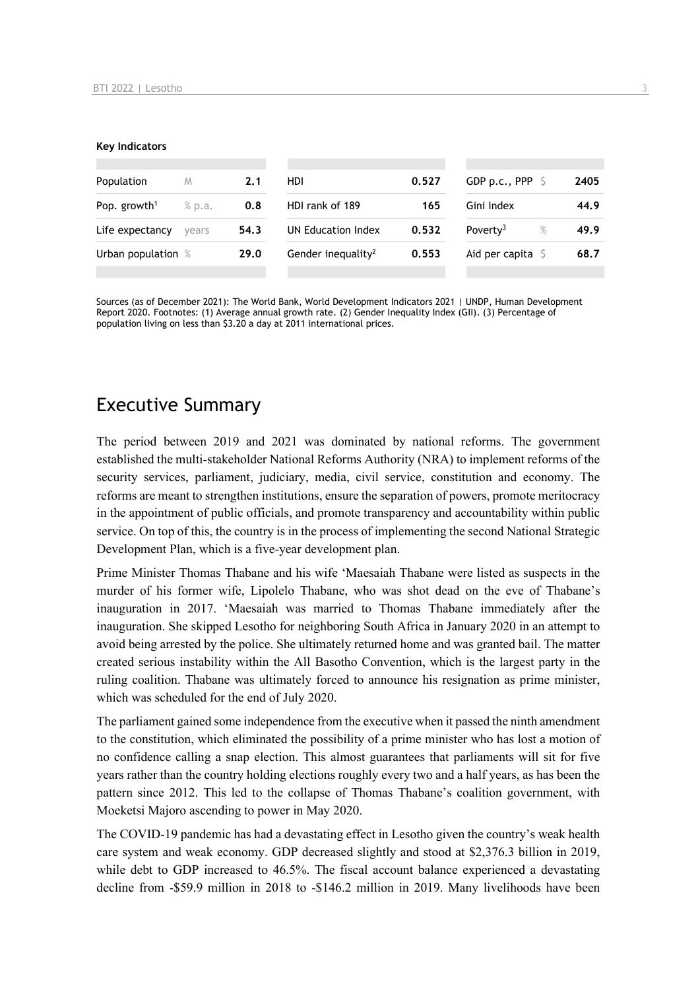#### **Key Indicators**

| Population               | M      | 2.1  | HDI                            | 0.527 | GDP p.c., PPP $\ S$          | 2405 |
|--------------------------|--------|------|--------------------------------|-------|------------------------------|------|
| Pop. growth <sup>1</sup> | % p.a. | 0.8  | HDI rank of 189                | 165   | Gini Index                   | 44.9 |
| Life expectancy          | vears  | 54.3 | UN Education Index             | 0.532 | $\%$<br>Poverty <sup>3</sup> | 49.9 |
| Urban population %       |        | 29.0 | Gender inequality <sup>2</sup> | 0.553 | Aid per capita $\sqrt{5}$    | 68.7 |
|                          |        |      |                                |       |                              |      |

Sources (as of December 2021): The World Bank, World Development Indicators 2021 | UNDP, Human Development Report 2020. Footnotes: (1) Average annual growth rate. (2) Gender Inequality Index (GII). (3) Percentage of population living on less than \$3.20 a day at 2011 international prices.

## Executive Summary

The period between 2019 and 2021 was dominated by national reforms. The government established the multi-stakeholder National Reforms Authority (NRA) to implement reforms of the security services, parliament, judiciary, media, civil service, constitution and economy. The reforms are meant to strengthen institutions, ensure the separation of powers, promote meritocracy in the appointment of public officials, and promote transparency and accountability within public service. On top of this, the country is in the process of implementing the second National Strategic Development Plan, which is a five-year development plan.

Prime Minister Thomas Thabane and his wife 'Maesaiah Thabane were listed as suspects in the murder of his former wife, Lipolelo Thabane, who was shot dead on the eve of Thabane's inauguration in 2017. 'Maesaiah was married to Thomas Thabane immediately after the inauguration. She skipped Lesotho for neighboring South Africa in January 2020 in an attempt to avoid being arrested by the police. She ultimately returned home and was granted bail. The matter created serious instability within the All Basotho Convention, which is the largest party in the ruling coalition. Thabane was ultimately forced to announce his resignation as prime minister, which was scheduled for the end of July 2020.

The parliament gained some independence from the executive when it passed the ninth amendment to the constitution, which eliminated the possibility of a prime minister who has lost a motion of no confidence calling a snap election. This almost guarantees that parliaments will sit for five years rather than the country holding elections roughly every two and a half years, as has been the pattern since 2012. This led to the collapse of Thomas Thabane's coalition government, with Moeketsi Majoro ascending to power in May 2020.

The COVID-19 pandemic has had a devastating effect in Lesotho given the country's weak health care system and weak economy. GDP decreased slightly and stood at \$2,376.3 billion in 2019, while debt to GDP increased to 46.5%. The fiscal account balance experienced a devastating decline from -\$59.9 million in 2018 to -\$146.2 million in 2019. Many livelihoods have been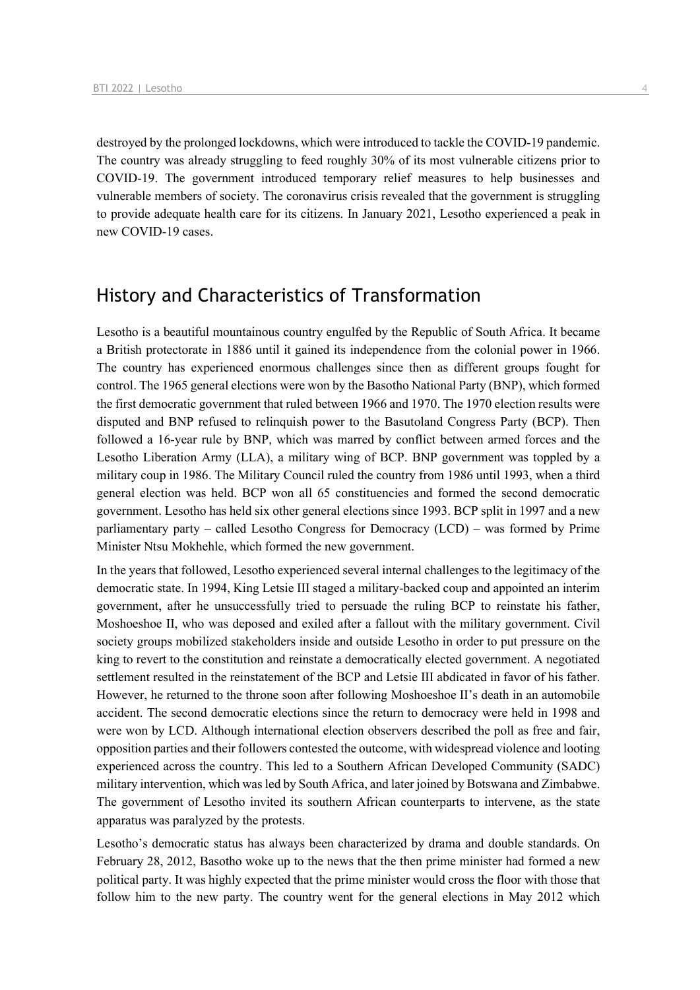destroyed by the prolonged lockdowns, which were introduced to tackle the COVID-19 pandemic. The country was already struggling to feed roughly 30% of its most vulnerable citizens prior to COVID-19. The government introduced temporary relief measures to help businesses and vulnerable members of society. The coronavirus crisis revealed that the government is struggling to provide adequate health care for its citizens. In January 2021, Lesotho experienced a peak in new COVID-19 cases.

## History and Characteristics of Transformation

Lesotho is a beautiful mountainous country engulfed by the Republic of South Africa. It became a British protectorate in 1886 until it gained its independence from the colonial power in 1966. The country has experienced enormous challenges since then as different groups fought for control. The 1965 general elections were won by the Basotho National Party (BNP), which formed the first democratic government that ruled between 1966 and 1970. The 1970 election results were disputed and BNP refused to relinquish power to the Basutoland Congress Party (BCP). Then followed a 16-year rule by BNP, which was marred by conflict between armed forces and the Lesotho Liberation Army (LLA), a military wing of BCP. BNP government was toppled by a military coup in 1986. The Military Council ruled the country from 1986 until 1993, when a third general election was held. BCP won all 65 constituencies and formed the second democratic government. Lesotho has held six other general elections since 1993. BCP split in 1997 and a new parliamentary party – called Lesotho Congress for Democracy (LCD) – was formed by Prime Minister Ntsu Mokhehle, which formed the new government.

In the years that followed, Lesotho experienced several internal challenges to the legitimacy of the democratic state. In 1994, King Letsie III staged a military-backed coup and appointed an interim government, after he unsuccessfully tried to persuade the ruling BCP to reinstate his father, Moshoeshoe II, who was deposed and exiled after a fallout with the military government. Civil society groups mobilized stakeholders inside and outside Lesotho in order to put pressure on the king to revert to the constitution and reinstate a democratically elected government. A negotiated settlement resulted in the reinstatement of the BCP and Letsie III abdicated in favor of his father. However, he returned to the throne soon after following Moshoeshoe II's death in an automobile accident. The second democratic elections since the return to democracy were held in 1998 and were won by LCD. Although international election observers described the poll as free and fair, opposition parties and their followers contested the outcome, with widespread violence and looting experienced across the country. This led to a Southern African Developed Community (SADC) military intervention, which was led by South Africa, and later joined by Botswana and Zimbabwe. The government of Lesotho invited its southern African counterparts to intervene, as the state apparatus was paralyzed by the protests.

Lesotho's democratic status has always been characterized by drama and double standards. On February 28, 2012, Basotho woke up to the news that the then prime minister had formed a new political party. It was highly expected that the prime minister would cross the floor with those that follow him to the new party. The country went for the general elections in May 2012 which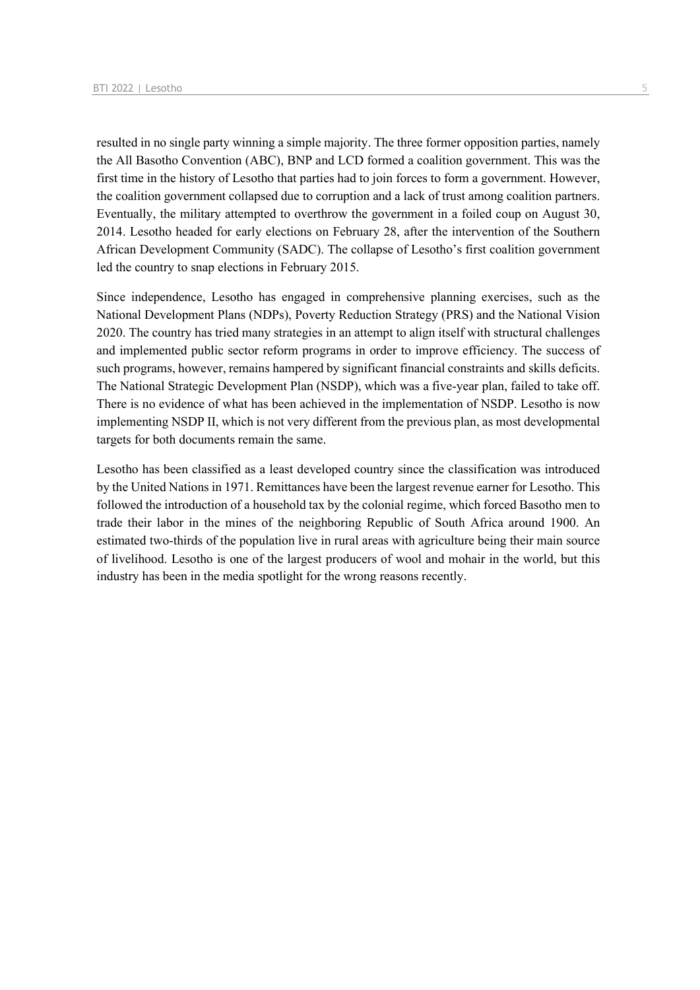resulted in no single party winning a simple majority. The three former opposition parties, namely the All Basotho Convention (ABC), BNP and LCD formed a coalition government. This was the first time in the history of Lesotho that parties had to join forces to form a government. However, the coalition government collapsed due to corruption and a lack of trust among coalition partners. Eventually, the military attempted to overthrow the government in a foiled coup on August 30, 2014. Lesotho headed for early elections on February 28, after the intervention of the Southern African Development Community (SADC). The collapse of Lesotho's first coalition government led the country to snap elections in February 2015.

Since independence, Lesotho has engaged in comprehensive planning exercises, such as the National Development Plans (NDPs), Poverty Reduction Strategy (PRS) and the National Vision 2020. The country has tried many strategies in an attempt to align itself with structural challenges and implemented public sector reform programs in order to improve efficiency. The success of such programs, however, remains hampered by significant financial constraints and skills deficits. The National Strategic Development Plan (NSDP), which was a five-year plan, failed to take off. There is no evidence of what has been achieved in the implementation of NSDP. Lesotho is now implementing NSDP II, which is not very different from the previous plan, as most developmental targets for both documents remain the same.

Lesotho has been classified as a least developed country since the classification was introduced by the United Nations in 1971. Remittances have been the largest revenue earner for Lesotho. This followed the introduction of a household tax by the colonial regime, which forced Basotho men to trade their labor in the mines of the neighboring Republic of South Africa around 1900. An estimated two-thirds of the population live in rural areas with agriculture being their main source of livelihood. Lesotho is one of the largest producers of wool and mohair in the world, but this industry has been in the media spotlight for the wrong reasons recently.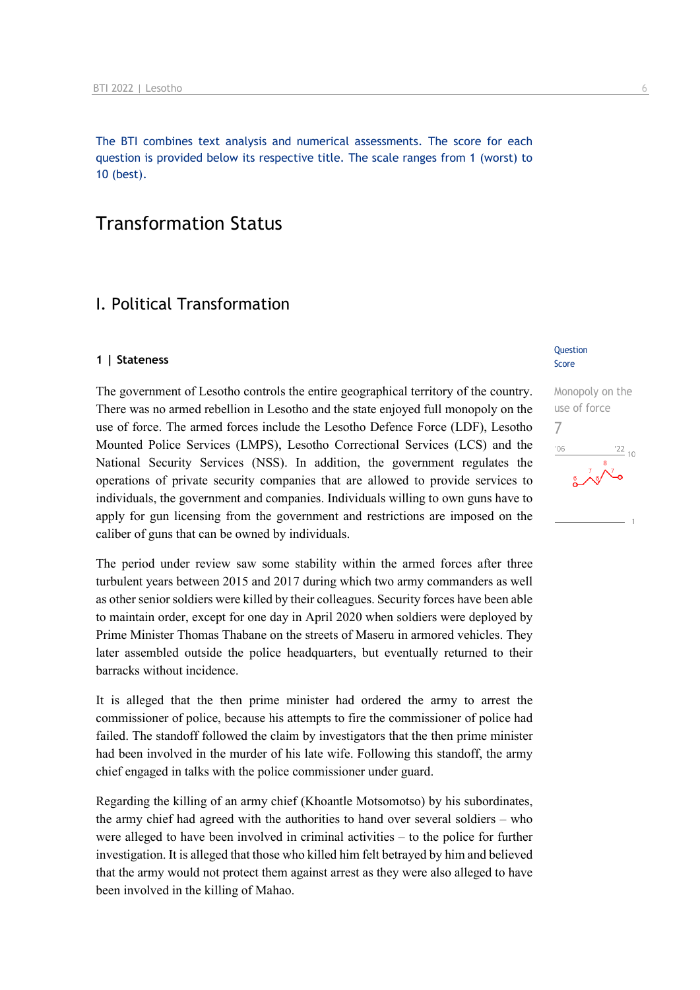The BTI combines text analysis and numerical assessments. The score for each question is provided below its respective title. The scale ranges from 1 (worst) to 10 (best).

## Transformation Status

## I. Political Transformation

### **1 | Stateness**

The government of Lesotho controls the entire geographical territory of the country. There was no armed rebellion in Lesotho and the state enjoyed full monopoly on the use of force. The armed forces include the Lesotho Defence Force (LDF), Lesotho Mounted Police Services (LMPS), Lesotho Correctional Services (LCS) and the National Security Services (NSS). In addition, the government regulates the operations of private security companies that are allowed to provide services to individuals, the government and companies. Individuals willing to own guns have to apply for gun licensing from the government and restrictions are imposed on the caliber of guns that can be owned by individuals.

The period under review saw some stability within the armed forces after three turbulent years between 2015 and 2017 during which two army commanders as well as other senior soldiers were killed by their colleagues. Security forces have been able to maintain order, except for one day in April 2020 when soldiers were deployed by Prime Minister Thomas Thabane on the streets of Maseru in armored vehicles. They later assembled outside the police headquarters, but eventually returned to their barracks without incidence.

It is alleged that the then prime minister had ordered the army to arrest the commissioner of police, because his attempts to fire the commissioner of police had failed. The standoff followed the claim by investigators that the then prime minister had been involved in the murder of his late wife. Following this standoff, the army chief engaged in talks with the police commissioner under guard.

Regarding the killing of an army chief (Khoantle Motsomotso) by his subordinates, the army chief had agreed with the authorities to hand over several soldiers – who were alleged to have been involved in criminal activities – to the police for further investigation. It is alleged that those who killed him felt betrayed by him and believed that the army would not protect them against arrest as they were also alleged to have been involved in the killing of Mahao.

### Question Score

Monopoly on the use of force 7 $-06$  $\frac{22}{10}$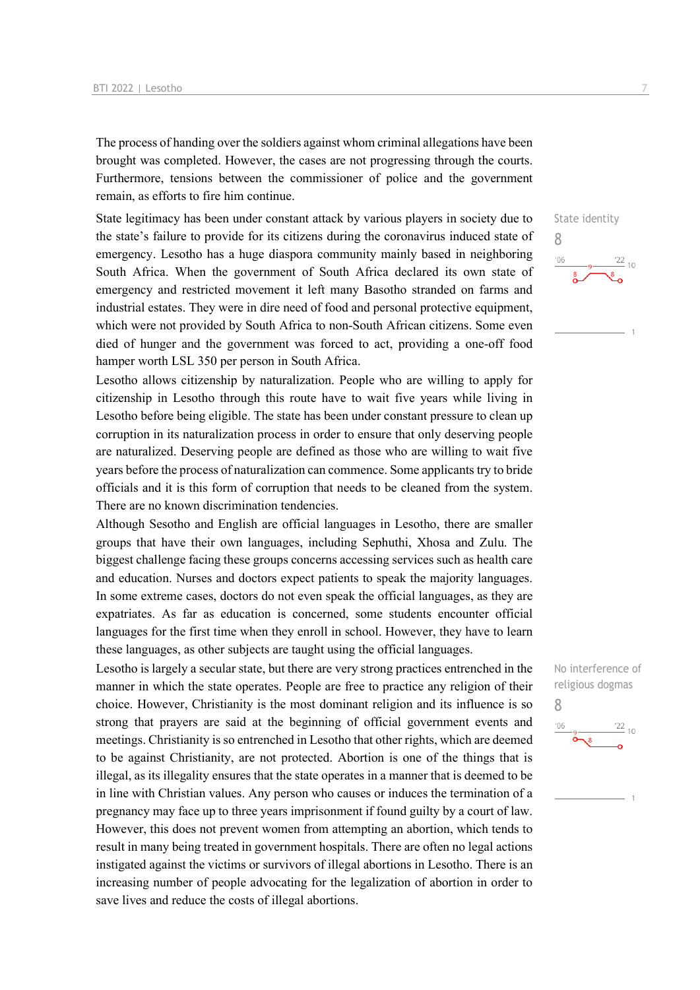The process of handing over the soldiers against whom criminal allegations have been brought was completed. However, the cases are not progressing through the courts. Furthermore, tensions between the commissioner of police and the government remain, as efforts to fire him continue.

State legitimacy has been under constant attack by various players in society due to the state's failure to provide for its citizens during the coronavirus induced state of emergency. Lesotho has a huge diaspora community mainly based in neighboring South Africa. When the government of South Africa declared its own state of emergency and restricted movement it left many Basotho stranded on farms and industrial estates. They were in dire need of food and personal protective equipment, which were not provided by South Africa to non-South African citizens. Some even died of hunger and the government was forced to act, providing a one-off food hamper worth LSL 350 per person in South Africa.

Lesotho allows citizenship by naturalization. People who are willing to apply for citizenship in Lesotho through this route have to wait five years while living in Lesotho before being eligible. The state has been under constant pressure to clean up corruption in its naturalization process in order to ensure that only deserving people are naturalized. Deserving people are defined as those who are willing to wait five years before the process of naturalization can commence. Some applicants try to bride officials and it is this form of corruption that needs to be cleaned from the system. There are no known discrimination tendencies.

Although Sesotho and English are official languages in Lesotho, there are smaller groups that have their own languages, including Sephuthi, Xhosa and Zulu. The biggest challenge facing these groups concerns accessing services such as health care and education. Nurses and doctors expect patients to speak the majority languages. In some extreme cases, doctors do not even speak the official languages, as they are expatriates. As far as education is concerned, some students encounter official languages for the first time when they enroll in school. However, they have to learn these languages, as other subjects are taught using the official languages.

Lesotho is largely a secular state, but there are very strong practices entrenched in the manner in which the state operates. People are free to practice any religion of their choice. However, Christianity is the most dominant religion and its influence is so strong that prayers are said at the beginning of official government events and meetings. Christianity is so entrenched in Lesotho that other rights, which are deemed to be against Christianity, are not protected. Abortion is one of the things that is illegal, as its illegality ensures that the state operates in a manner that is deemed to be in line with Christian values. Any person who causes or induces the termination of a pregnancy may face up to three years imprisonment if found guilty by a court of law. However, this does not prevent women from attempting an abortion, which tends to result in many being treated in government hospitals. There are often no legal actions instigated against the victims or survivors of illegal abortions in Lesotho. There is an increasing number of people advocating for the legalization of abortion in order to save lives and reduce the costs of illegal abortions.

 $\frac{22}{10}$ 

State identity

8

 $106$ 



 $\frac{22}{10}$ 

8

 $'06$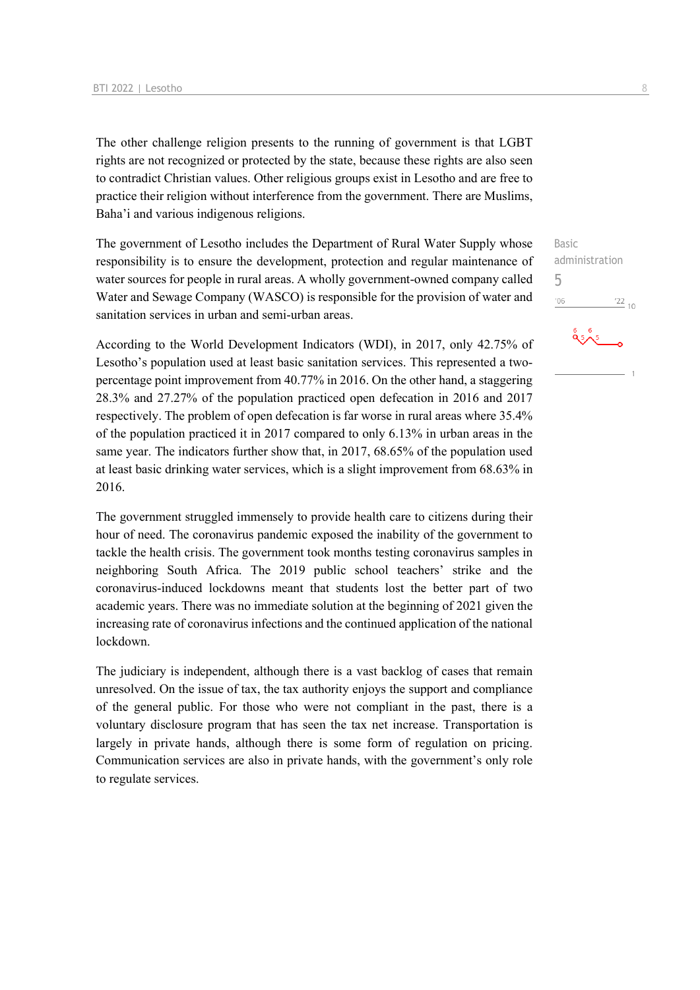The other challenge religion presents to the running of government is that LGBT rights are not recognized or protected by the state, because these rights are also seen to contradict Christian values. Other religious groups exist in Lesotho and are free to practice their religion without interference from the government. There are Muslims, Baha'i and various indigenous religions.

The government of Lesotho includes the Department of Rural Water Supply whose responsibility is to ensure the development, protection and regular maintenance of water sources for people in rural areas. A wholly government-owned company called Water and Sewage Company (WASCO) is responsible for the provision of water and sanitation services in urban and semi-urban areas.

According to the World Development Indicators (WDI), in 2017, only 42.75% of Lesotho's population used at least basic sanitation services. This represented a twopercentage point improvement from 40.77% in 2016. On the other hand, a staggering 28.3% and 27.27% of the population practiced open defecation in 2016 and 2017 respectively. The problem of open defecation is far worse in rural areas where 35.4% of the population practiced it in 2017 compared to only 6.13% in urban areas in the same year. The indicators further show that, in 2017, 68.65% of the population used at least basic drinking water services, which is a slight improvement from 68.63% in 2016.

The government struggled immensely to provide health care to citizens during their hour of need. The coronavirus pandemic exposed the inability of the government to tackle the health crisis. The government took months testing coronavirus samples in neighboring South Africa. The 2019 public school teachers' strike and the coronavirus-induced lockdowns meant that students lost the better part of two academic years. There was no immediate solution at the beginning of 2021 given the increasing rate of coronavirus infections and the continued application of the national lockdown.

The judiciary is independent, although there is a vast backlog of cases that remain unresolved. On the issue of tax, the tax authority enjoys the support and compliance of the general public. For those who were not compliant in the past, there is a voluntary disclosure program that has seen the tax net increase. Transportation is largely in private hands, although there is some form of regulation on pricing. Communication services are also in private hands, with the government's only role to regulate services.

Basic administration 5 $\frac{1}{22}$  10  $'06$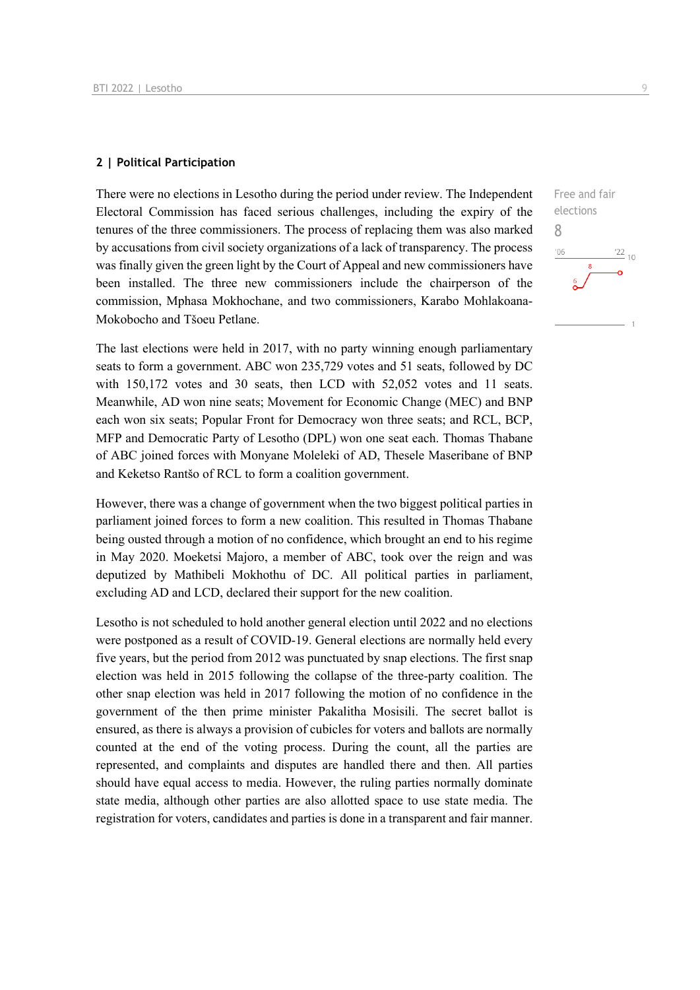### **2 | Political Participation**

There were no elections in Lesotho during the period under review. The Independent Electoral Commission has faced serious challenges, including the expiry of the tenures of the three commissioners. The process of replacing them was also marked by accusations from civil society organizations of a lack of transparency. The process was finally given the green light by the Court of Appeal and new commissioners have been installed. The three new commissioners include the chairperson of the commission, Mphasa Mokhochane, and two commissioners, Karabo Mohlakoana-Mokobocho and Tšoeu Petlane.

The last elections were held in 2017, with no party winning enough parliamentary seats to form a government. ABC won 235,729 votes and 51 seats, followed by DC with 150,172 votes and 30 seats, then LCD with 52,052 votes and 11 seats. Meanwhile, AD won nine seats; Movement for Economic Change (MEC) and BNP each won six seats; Popular Front for Democracy won three seats; and RCL, BCP, MFP and Democratic Party of Lesotho (DPL) won one seat each. Thomas Thabane of ABC joined forces with Monyane Moleleki of AD, Thesele Maseribane of BNP and Keketso Rantšo of RCL to form a coalition government.

However, there was a change of government when the two biggest political parties in parliament joined forces to form a new coalition. This resulted in Thomas Thabane being ousted through a motion of no confidence, which brought an end to his regime in May 2020. Moeketsi Majoro, a member of ABC, took over the reign and was deputized by Mathibeli Mokhothu of DC. All political parties in parliament, excluding AD and LCD, declared their support for the new coalition.

Lesotho is not scheduled to hold another general election until 2022 and no elections were postponed as a result of COVID-19. General elections are normally held every five years, but the period from 2012 was punctuated by snap elections. The first snap election was held in 2015 following the collapse of the three-party coalition. The other snap election was held in 2017 following the motion of no confidence in the government of the then prime minister Pakalitha Mosisili. The secret ballot is ensured, as there is always a provision of cubicles for voters and ballots are normally counted at the end of the voting process. During the count, all the parties are represented, and complaints and disputes are handled there and then. All parties should have equal access to media. However, the ruling parties normally dominate state media, although other parties are also allotted space to use state media. The registration for voters, candidates and parties is done in a transparent and fair manner.

Free and fair elections 8 $\frac{22}{10}$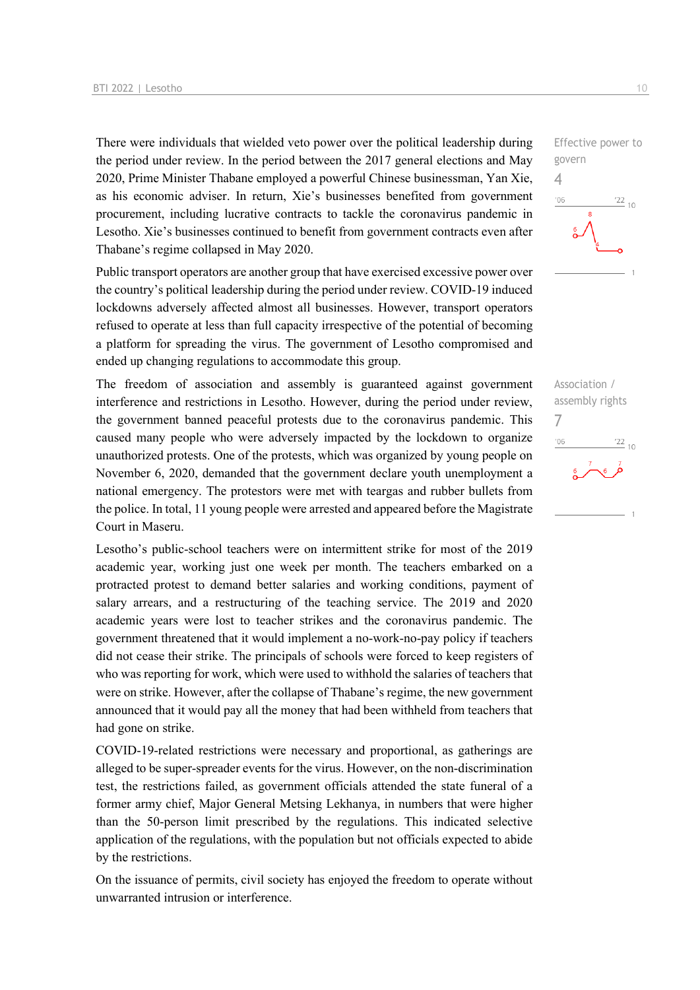There were individuals that wielded veto power over the political leadership during the period under review. In the period between the 2017 general elections and May 2020, Prime Minister Thabane employed a powerful Chinese businessman, Yan Xie, as his economic adviser. In return, Xie's businesses benefited from government procurement, including lucrative contracts to tackle the coronavirus pandemic in Lesotho. Xie's businesses continued to benefit from government contracts even after Thabane's regime collapsed in May 2020.

Public transport operators are another group that have exercised excessive power over the country's political leadership during the period under review. COVID-19 induced lockdowns adversely affected almost all businesses. However, transport operators refused to operate at less than full capacity irrespective of the potential of becoming a platform for spreading the virus. The government of Lesotho compromised and ended up changing regulations to accommodate this group.

The freedom of association and assembly is guaranteed against government interference and restrictions in Lesotho. However, during the period under review, the government banned peaceful protests due to the coronavirus pandemic. This caused many people who were adversely impacted by the lockdown to organize unauthorized protests. One of the protests, which was organized by young people on November 6, 2020, demanded that the government declare youth unemployment a national emergency. The protestors were met with teargas and rubber bullets from the police. In total, 11 young people were arrested and appeared before the Magistrate Court in Maseru.

Lesotho's public-school teachers were on intermittent strike for most of the 2019 academic year, working just one week per month. The teachers embarked on a protracted protest to demand better salaries and working conditions, payment of salary arrears, and a restructuring of the teaching service. The 2019 and 2020 academic years were lost to teacher strikes and the coronavirus pandemic. The government threatened that it would implement a no-work-no-pay policy if teachers did not cease their strike. The principals of schools were forced to keep registers of who was reporting for work, which were used to withhold the salaries of teachers that were on strike. However, after the collapse of Thabane's regime, the new government announced that it would pay all the money that had been withheld from teachers that had gone on strike.

COVID-19-related restrictions were necessary and proportional, as gatherings are alleged to be super-spreader events for the virus. However, on the non-discrimination test, the restrictions failed, as government officials attended the state funeral of a former army chief, Major General Metsing Lekhanya, in numbers that were higher than the 50-person limit prescribed by the regulations. This indicated selective application of the regulations, with the population but not officials expected to abide by the restrictions.

On the issuance of permits, civil society has enjoyed the freedom to operate without unwarranted intrusion or interference.

Effective power to govern 4  $^{\prime}06$  $\frac{22}{10}$ 

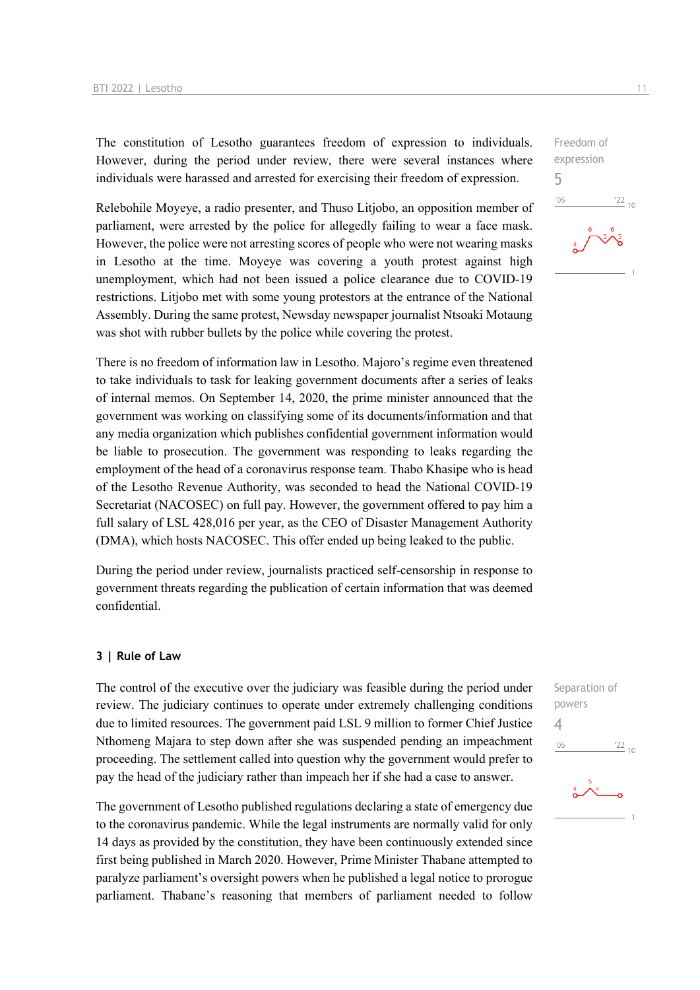The constitution of Lesotho guarantees freedom of expression to individuals. However, during the period under review, there were several instances where individuals were harassed and arrested for exercising their freedom of expression.

Relebohile Moyeye, a radio presenter, and Thuso Litjobo, an opposition member of parliament, were arrested by the police for allegedly failing to wear a face mask. However, the police were not arresting scores of people who were not wearing masks in Lesotho at the time. Moyeye was covering a youth protest against high unemployment, which had not been issued a police clearance due to COVID-19 restrictions. Litjobo met with some young protestors at the entrance of the National Assembly. During the same protest, Newsday newspaper journalist Ntsoaki Motaung was shot with rubber bullets by the police while covering the protest.

There is no freedom of information law in Lesotho. Majoro's regime even threatened to take individuals to task for leaking government documents after a series of leaks of internal memos. On September 14, 2020, the prime minister announced that the government was working on classifying some of its documents/information and that any media organization which publishes confidential government information would be liable to prosecution. The government was responding to leaks regarding the employment of the head of a coronavirus response team. Thabo Khasipe who is head of the Lesotho Revenue Authority, was seconded to head the National COVID-19 Secretariat (NACOSEC) on full pay. However, the government offered to pay him a full salary of LSL 428,016 per year, as the CEO of Disaster Management Authority (DMA), which hosts NACOSEC. This offer ended up being leaked to the public.

During the period under review, journalists practiced self-censorship in response to government threats regarding the publication of certain information that was deemed confidential.

### **3 | Rule of Law**

The control of the executive over the judiciary was feasible during the period under review. The judiciary continues to operate under extremely challenging conditions due to limited resources. The government paid LSL 9 million to former Chief Justice Nthomeng Majara to step down after she was suspended pending an impeachment proceeding. The settlement called into question why the government would prefer to pay the head of the judiciary rather than impeach her if she had a case to answer.

The government of Lesotho published regulations declaring a state of emergency due to the coronavirus pandemic. While the legal instruments are normally valid for only 14 days as provided by the constitution, they have been continuously extended since first being published in March 2020. However, Prime Minister Thabane attempted to paralyze parliament's oversight powers when he published a legal notice to prorogue parliament. Thabane's reasoning that members of parliament needed to follow Freedom of expression 5  $-06$  $\frac{22}{10}$ 

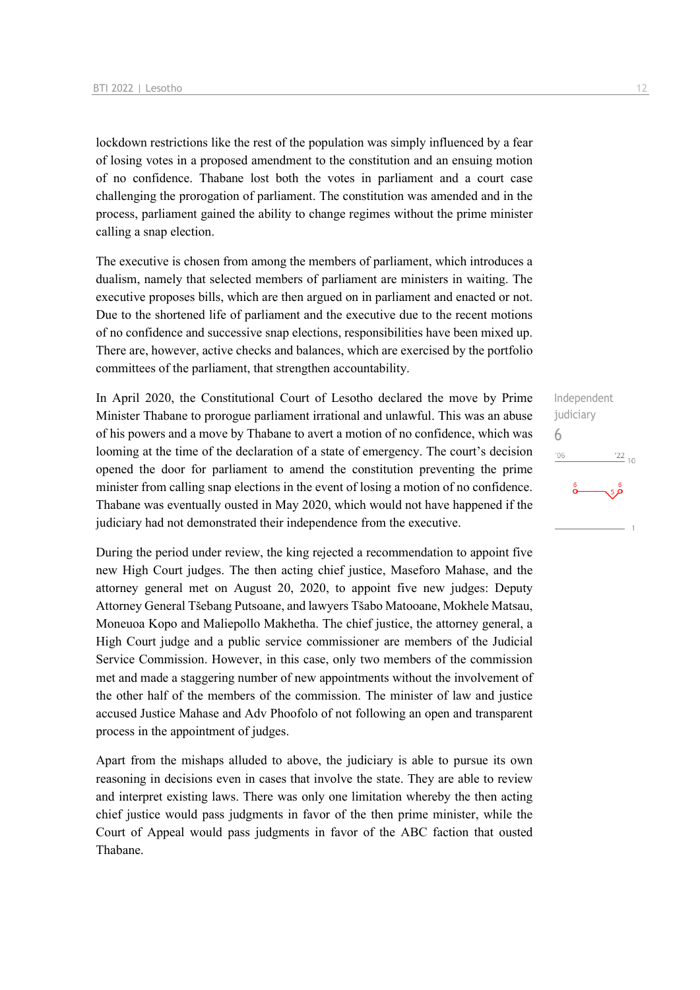lockdown restrictions like the rest of the population was simply influenced by a fear of losing votes in a proposed amendment to the constitution and an ensuing motion of no confidence. Thabane lost both the votes in parliament and a court case challenging the prorogation of parliament. The constitution was amended and in the process, parliament gained the ability to change regimes without the prime minister calling a snap election.

The executive is chosen from among the members of parliament, which introduces a dualism, namely that selected members of parliament are ministers in waiting. The executive proposes bills, which are then argued on in parliament and enacted or not. Due to the shortened life of parliament and the executive due to the recent motions of no confidence and successive snap elections, responsibilities have been mixed up. There are, however, active checks and balances, which are exercised by the portfolio committees of the parliament, that strengthen accountability.

In April 2020, the Constitutional Court of Lesotho declared the move by Prime Minister Thabane to prorogue parliament irrational and unlawful. This was an abuse of his powers and a move by Thabane to avert a motion of no confidence, which was looming at the time of the declaration of a state of emergency. The court's decision opened the door for parliament to amend the constitution preventing the prime minister from calling snap elections in the event of losing a motion of no confidence. Thabane was eventually ousted in May 2020, which would not have happened if the judiciary had not demonstrated their independence from the executive.

During the period under review, the king rejected a recommendation to appoint five new High Court judges. The then acting chief justice, Maseforo Mahase, and the attorney general met on August 20, 2020, to appoint five new judges: Deputy Attorney General Tšebang Putsoane, and lawyers Tšabo Matooane, Mokhele Matsau, Moneuoa Kopo and Maliepollo Makhetha. The chief justice, the attorney general, a High Court judge and a public service commissioner are members of the Judicial Service Commission. However, in this case, only two members of the commission met and made a staggering number of new appointments without the involvement of the other half of the members of the commission. The minister of law and justice accused Justice Mahase and Adv Phoofolo of not following an open and transparent process in the appointment of judges.

Apart from the mishaps alluded to above, the judiciary is able to pursue its own reasoning in decisions even in cases that involve the state. They are able to review and interpret existing laws. There was only one limitation whereby the then acting chief justice would pass judgments in favor of the then prime minister, while the Court of Appeal would pass judgments in favor of the ABC faction that ousted Thabane.

Independent judiciary 6 $^{\prime}06$  $\frac{22}{10}$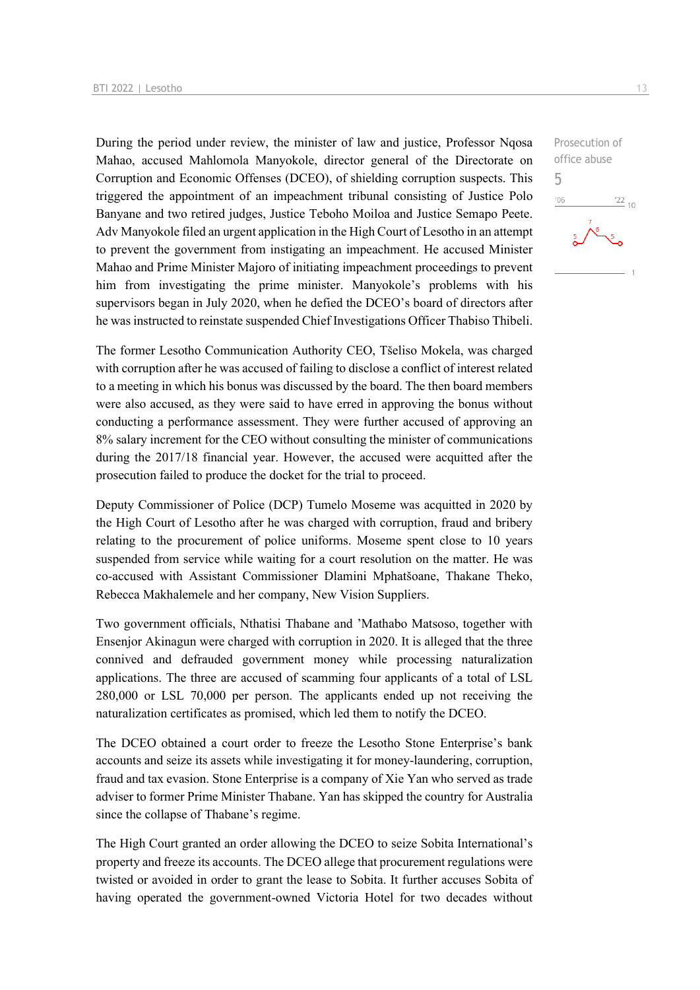During the period under review, the minister of law and justice, Professor Nqosa Mahao, accused Mahlomola Manyokole, director general of the Directorate on Corruption and Economic Offenses (DCEO), of shielding corruption suspects. This triggered the appointment of an impeachment tribunal consisting of Justice Polo Banyane and two retired judges, Justice Teboho Moiloa and Justice Semapo Peete. Adv Manyokole filed an urgent application in the High Court of Lesotho in an attempt to prevent the government from instigating an impeachment. He accused Minister Mahao and Prime Minister Majoro of initiating impeachment proceedings to prevent him from investigating the prime minister. Manyokole's problems with his supervisors began in July 2020, when he defied the DCEO's board of directors after he was instructed to reinstate suspended Chief Investigations Officer Thabiso Thibeli.

The former Lesotho Communication Authority CEO, Tšeliso Mokela, was charged with corruption after he was accused of failing to disclose a conflict of interest related to a meeting in which his bonus was discussed by the board. The then board members were also accused, as they were said to have erred in approving the bonus without conducting a performance assessment. They were further accused of approving an 8% salary increment for the CEO without consulting the minister of communications during the 2017/18 financial year. However, the accused were acquitted after the prosecution failed to produce the docket for the trial to proceed.

Deputy Commissioner of Police (DCP) Tumelo Moseme was acquitted in 2020 by the High Court of Lesotho after he was charged with corruption, fraud and bribery relating to the procurement of police uniforms. Moseme spent close to 10 years suspended from service while waiting for a court resolution on the matter. He was co-accused with Assistant Commissioner Dlamini Mphatšoane, Thakane Theko, Rebecca Makhalemele and her company, New Vision Suppliers.

Two government officials, Nthatisi Thabane and 'Mathabo Matsoso, together with Ensenjor Akinagun were charged with corruption in 2020. It is alleged that the three connived and defrauded government money while processing naturalization applications. The three are accused of scamming four applicants of a total of LSL 280,000 or LSL 70,000 per person. The applicants ended up not receiving the naturalization certificates as promised, which led them to notify the DCEO.

The DCEO obtained a court order to freeze the Lesotho Stone Enterprise's bank accounts and seize its assets while investigating it for money-laundering, corruption, fraud and tax evasion. Stone Enterprise is a company of Xie Yan who served as trade adviser to former Prime Minister Thabane. Yan has skipped the country for Australia since the collapse of Thabane's regime.

The High Court granted an order allowing the DCEO to seize Sobita International's property and freeze its accounts. The DCEO allege that procurement regulations were twisted or avoided in order to grant the lease to Sobita. It further accuses Sobita of having operated the government-owned Victoria Hotel for two decades without

 $\frac{22}{10}$ 

Prosecution of office abuse

5 $^{\prime}06$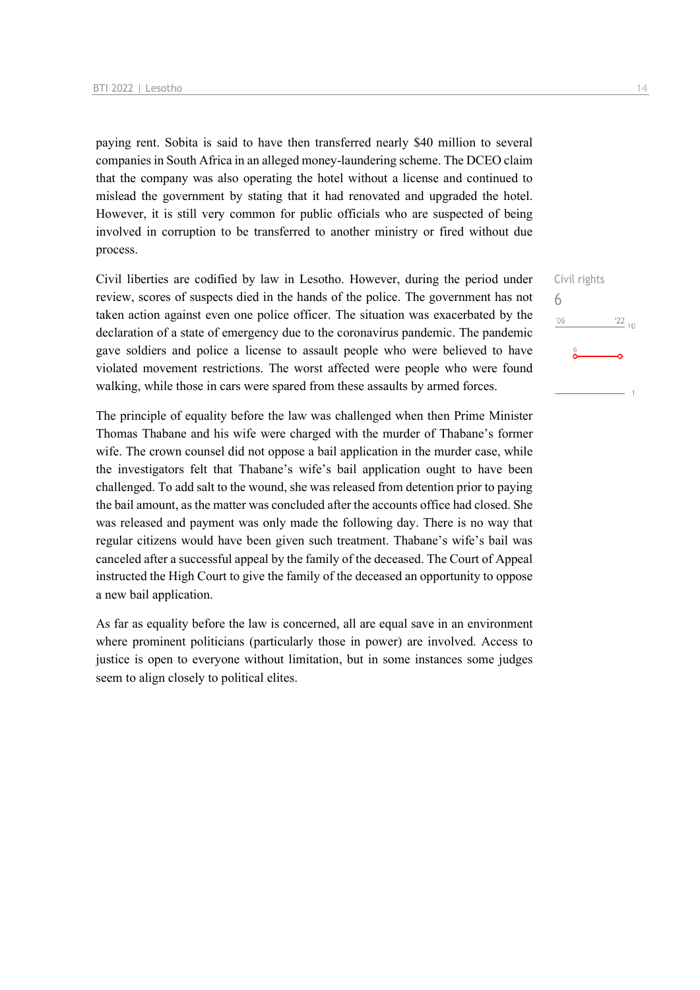paying rent. Sobita is said to have then transferred nearly \$40 million to several companies in South Africa in an alleged money-laundering scheme. The DCEO claim that the company was also operating the hotel without a license and continued to mislead the government by stating that it had renovated and upgraded the hotel. However, it is still very common for public officials who are suspected of being involved in corruption to be transferred to another ministry or fired without due process.

Civil liberties are codified by law in Lesotho. However, during the period under review, scores of suspects died in the hands of the police. The government has not taken action against even one police officer. The situation was exacerbated by the declaration of a state of emergency due to the coronavirus pandemic. The pandemic gave soldiers and police a license to assault people who were believed to have violated movement restrictions. The worst affected were people who were found walking, while those in cars were spared from these assaults by armed forces.

The principle of equality before the law was challenged when then Prime Minister Thomas Thabane and his wife were charged with the murder of Thabane's former wife. The crown counsel did not oppose a bail application in the murder case, while the investigators felt that Thabane's wife's bail application ought to have been challenged. To add salt to the wound, she was released from detention prior to paying the bail amount, as the matter was concluded after the accounts office had closed. She was released and payment was only made the following day. There is no way that regular citizens would have been given such treatment. Thabane's wife's bail was canceled after a successful appeal by the family of the deceased. The Court of Appeal instructed the High Court to give the family of the deceased an opportunity to oppose a new bail application.

As far as equality before the law is concerned, all are equal save in an environment where prominent politicians (particularly those in power) are involved. Access to justice is open to everyone without limitation, but in some instances some judges seem to align closely to political elites.

Civil rights 6 $\frac{22}{10}$  $'06$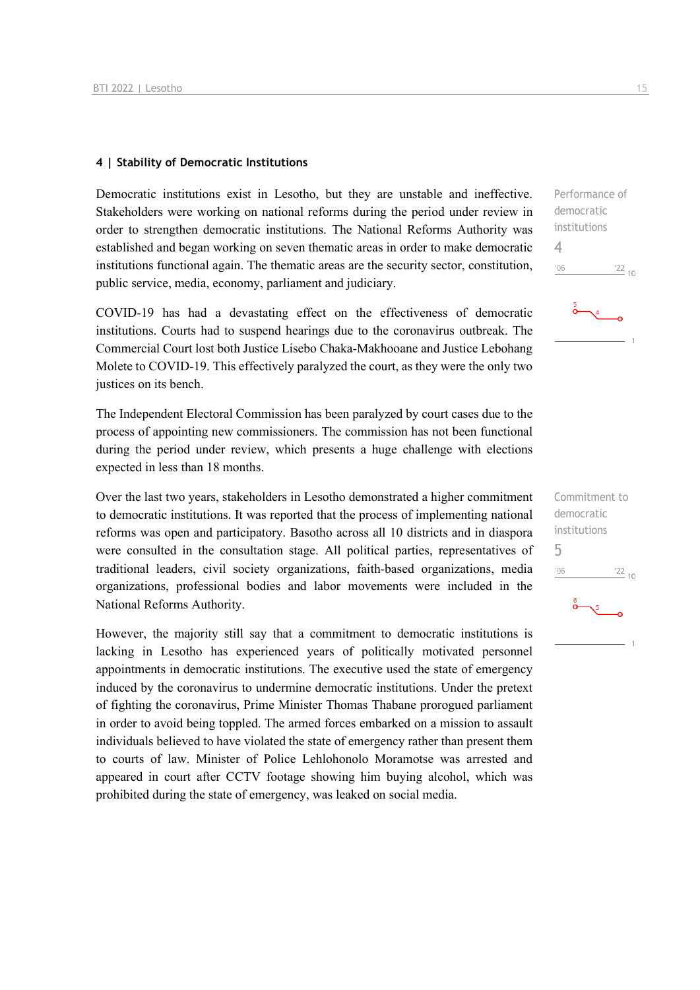### **4 | Stability of Democratic Institutions**

Democratic institutions exist in Lesotho, but they are unstable and ineffective. Stakeholders were working on national reforms during the period under review in order to strengthen democratic institutions. The National Reforms Authority was established and began working on seven thematic areas in order to make democratic institutions functional again. The thematic areas are the security sector, constitution, public service, media, economy, parliament and judiciary.

COVID-19 has had a devastating effect on the effectiveness of democratic institutions. Courts had to suspend hearings due to the coronavirus outbreak. The Commercial Court lost both Justice Lisebo Chaka-Makhooane and Justice Lebohang Molete to COVID-19. This effectively paralyzed the court, as they were the only two justices on its bench.

The Independent Electoral Commission has been paralyzed by court cases due to the process of appointing new commissioners. The commission has not been functional during the period under review, which presents a huge challenge with elections expected in less than 18 months.

Over the last two years, stakeholders in Lesotho demonstrated a higher commitment to democratic institutions. It was reported that the process of implementing national reforms was open and participatory. Basotho across all 10 districts and in diaspora were consulted in the consultation stage. All political parties, representatives of traditional leaders, civil society organizations, faith-based organizations, media organizations, professional bodies and labor movements were included in the National Reforms Authority.

However, the majority still say that a commitment to democratic institutions is lacking in Lesotho has experienced years of politically motivated personnel appointments in democratic institutions. The executive used the state of emergency induced by the coronavirus to undermine democratic institutions. Under the pretext of fighting the coronavirus, Prime Minister Thomas Thabane prorogued parliament in order to avoid being toppled. The armed forces embarked on a mission to assault individuals believed to have violated the state of emergency rather than present them to courts of law. Minister of Police Lehlohonolo Moramotse was arrested and appeared in court after CCTV footage showing him buying alcohol, which was prohibited during the state of emergency, was leaked on social media.

Performance of democratic institutions 4  $\frac{22}{10}$  $106$ 

Commitment to democratic institutions 5 $\frac{22}{10}$  $^{\prime}06$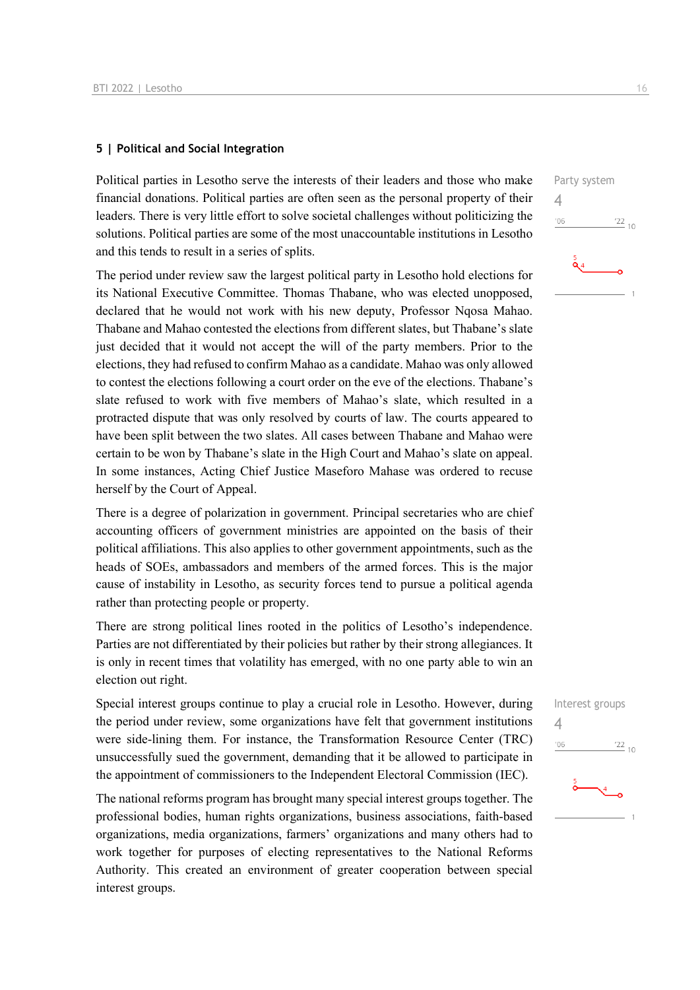### **5 | Political and Social Integration**

Political parties in Lesotho serve the interests of their leaders and those who make financial donations. Political parties are often seen as the personal property of their leaders. There is very little effort to solve societal challenges without politicizing the solutions. Political parties are some of the most unaccountable institutions in Lesotho and this tends to result in a series of splits.

The period under review saw the largest political party in Lesotho hold elections for its National Executive Committee. Thomas Thabane, who was elected unopposed, declared that he would not work with his new deputy. Professor Ngosa Mahao. Thabane and Mahao contested the elections from different slates, but Thabane's slate just decided that it would not accept the will of the party members. Prior to the elections, they had refused to confirm Mahao as a candidate. Mahao was only allowed to contest the elections following a court order on the eve of the elections. Thabane's slate refused to work with five members of Mahao's slate, which resulted in a protracted dispute that was only resolved by courts of law. The courts appeared to have been split between the two slates. All cases between Thabane and Mahao were certain to be won by Thabane's slate in the High Court and Mahao's slate on appeal. In some instances, Acting Chief Justice Maseforo Mahase was ordered to recuse herself by the Court of Appeal.

There is a degree of polarization in government. Principal secretaries who are chief accounting officers of government ministries are appointed on the basis of their political affiliations. This also applies to other government appointments, such as the heads of SOEs, ambassadors and members of the armed forces. This is the major cause of instability in Lesotho, as security forces tend to pursue a political agenda rather than protecting people or property.

There are strong political lines rooted in the politics of Lesotho's independence. Parties are not differentiated by their policies but rather by their strong allegiances. It is only in recent times that volatility has emerged, with no one party able to win an election out right.

Special interest groups continue to play a crucial role in Lesotho. However, during the period under review, some organizations have felt that government institutions were side-lining them. For instance, the Transformation Resource Center (TRC) unsuccessfully sued the government, demanding that it be allowed to participate in the appointment of commissioners to the Independent Electoral Commission (IEC).

The national reforms program has brought many special interest groups together. The professional bodies, human rights organizations, business associations, faith-based organizations, media organizations, farmers' organizations and many others had to work together for purposes of electing representatives to the National Reforms Authority. This created an environment of greater cooperation between special interest groups.



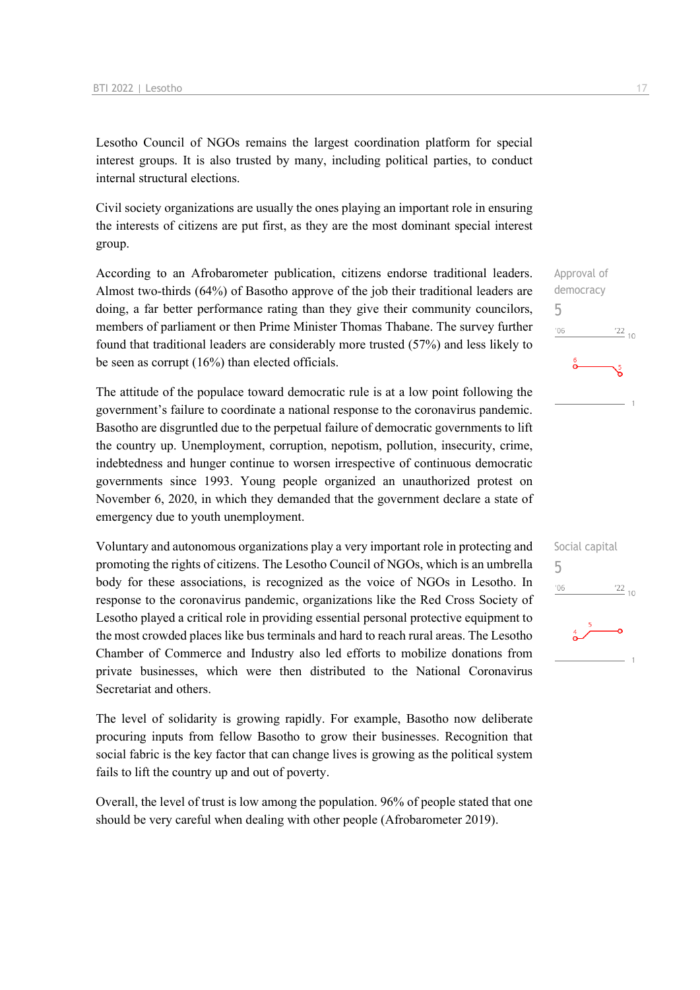Lesotho Council of NGOs remains the largest coordination platform for special interest groups. It is also trusted by many, including political parties, to conduct internal structural elections.

Civil society organizations are usually the ones playing an important role in ensuring the interests of citizens are put first, as they are the most dominant special interest group.

According to an Afrobarometer publication, citizens endorse traditional leaders. Almost two-thirds (64%) of Basotho approve of the job their traditional leaders are doing, a far better performance rating than they give their community councilors, members of parliament or then Prime Minister Thomas Thabane. The survey further found that traditional leaders are considerably more trusted (57%) and less likely to be seen as corrupt (16%) than elected officials.

The attitude of the populace toward democratic rule is at a low point following the government's failure to coordinate a national response to the coronavirus pandemic. Basotho are disgruntled due to the perpetual failure of democratic governments to lift the country up. Unemployment, corruption, nepotism, pollution, insecurity, crime, indebtedness and hunger continue to worsen irrespective of continuous democratic governments since 1993. Young people organized an unauthorized protest on November 6, 2020, in which they demanded that the government declare a state of emergency due to youth unemployment.

Voluntary and autonomous organizations play a very important role in protecting and promoting the rights of citizens. The Lesotho Council of NGOs, which is an umbrella body for these associations, is recognized as the voice of NGOs in Lesotho. In response to the coronavirus pandemic, organizations like the Red Cross Society of Lesotho played a critical role in providing essential personal protective equipment to the most crowded places like bus terminals and hard to reach rural areas. The Lesotho Chamber of Commerce and Industry also led efforts to mobilize donations from private businesses, which were then distributed to the National Coronavirus Secretariat and others.

The level of solidarity is growing rapidly. For example, Basotho now deliberate procuring inputs from fellow Basotho to grow their businesses. Recognition that social fabric is the key factor that can change lives is growing as the political system fails to lift the country up and out of poverty.

Overall, the level of trust is low among the population. 96% of people stated that one should be very careful when dealing with other people (Afrobarometer 2019).



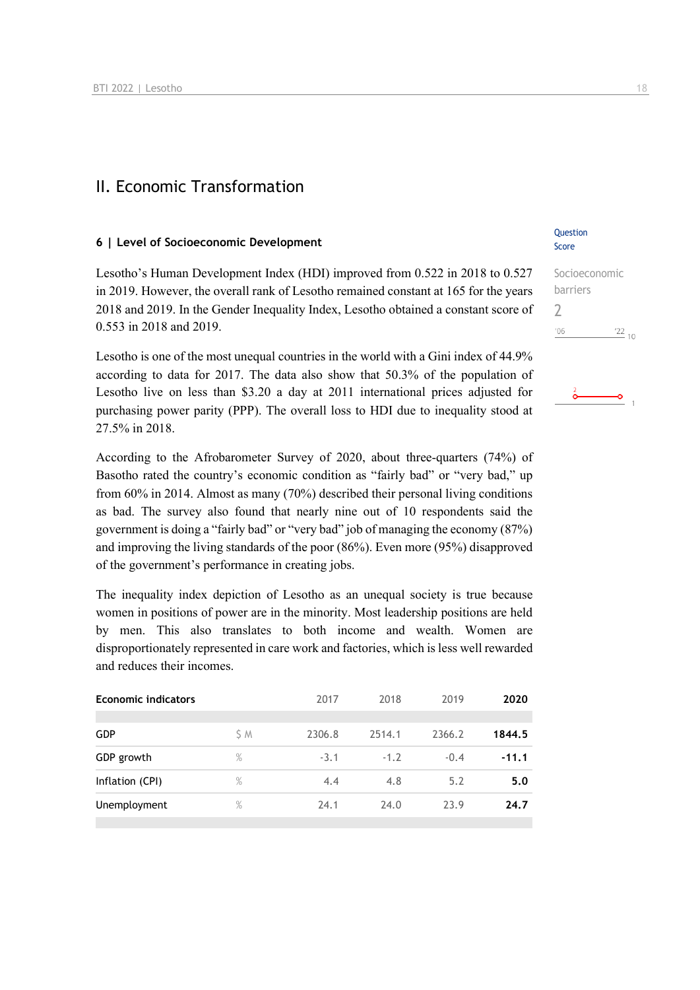### II. Economic Transformation

### **6 | Level of Socioeconomic Development**

Lesotho's Human Development Index (HDI) improved from 0.522 in 2018 to 0.527 in 2019. However, the overall rank of Lesotho remained constant at 165 for the years 2018 and 2019. In the Gender Inequality Index, Lesotho obtained a constant score of 0.553 in 2018 and 2019.

Lesotho is one of the most unequal countries in the world with a Gini index of 44.9% according to data for 2017. The data also show that 50.3% of the population of Lesotho live on less than \$3.20 a day at 2011 international prices adjusted for purchasing power parity (PPP). The overall loss to HDI due to inequality stood at 27.5% in 2018.

According to the Afrobarometer Survey of 2020, about three-quarters (74%) of Basotho rated the country's economic condition as "fairly bad" or "very bad," up from 60% in 2014. Almost as many (70%) described their personal living conditions as bad. The survey also found that nearly nine out of 10 respondents said the government is doing a "fairly bad" or "very bad" job of managing the economy (87%) and improving the living standards of the poor (86%). Even more (95%) disapproved of the government's performance in creating jobs.

The inequality index depiction of Lesotho as an unequal society is true because women in positions of power are in the minority. Most leadership positions are held by men. This also translates to both income and wealth. Women are disproportionately represented in care work and factories, which is less well rewarded and reduces their incomes.

| <b>Economic indicators</b> |               | 2017   | 2018   | 2019   | 2020    |
|----------------------------|---------------|--------|--------|--------|---------|
| <b>GDP</b>                 | S M           | 2306.8 | 2514.1 | 2366.2 | 1844.5  |
| GDP growth                 | $\frac{9}{6}$ | $-3.1$ | $-1.2$ | $-0.4$ | $-11.1$ |
| Inflation (CPI)            | %             | 4.4    | 4.8    | 5.2    | 5.0     |
| Unemployment               | $\%$          | 24.1   | 24.0   | 23.9   | 24.7    |
|                            |               |        |        |        |         |

### **Ouestion** Score

| Socioeconomic  |               |
|----------------|---------------|
| barriers       |               |
|                |               |
| $^{\prime}$ 06 | $^{22}_{-10}$ |
|                |               |

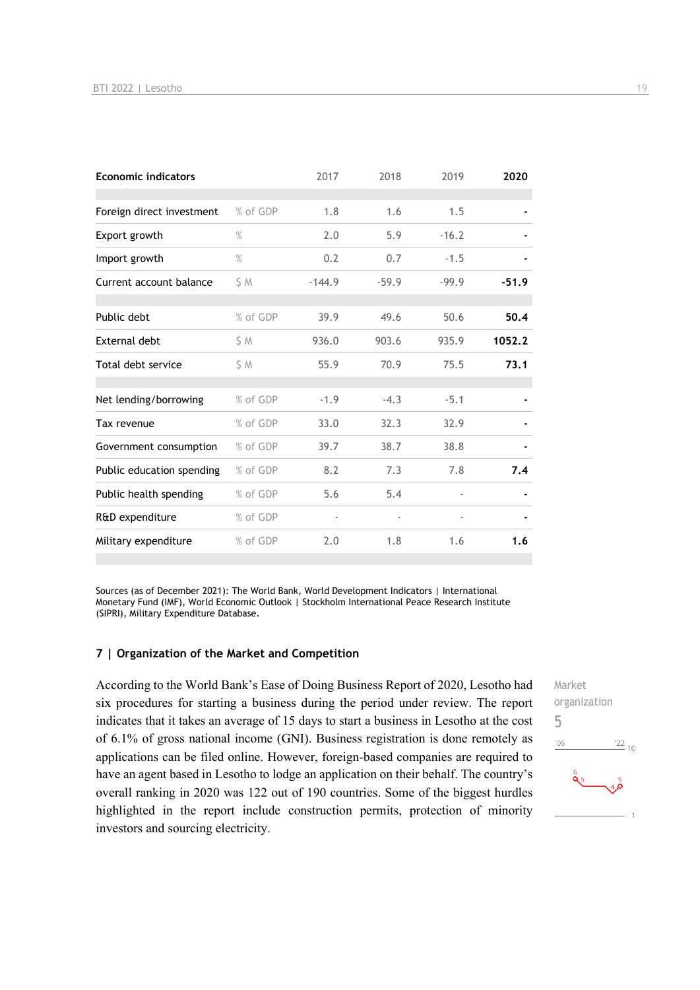| <b>Economic indicators</b> |               | 2017     | 2018    | 2019                     | 2020    |
|----------------------------|---------------|----------|---------|--------------------------|---------|
|                            |               |          |         |                          |         |
| Foreign direct investment  | % of GDP      | 1.8      | 1.6     | 1.5                      |         |
| Export growth              | $\frac{9}{6}$ | 2.0      | 5.9     | $-16.2$                  |         |
| Import growth              | $\%$          | 0.2      | 0.7     | $-1.5$                   |         |
| Current account balance    | S M           | $-144.9$ | $-59.9$ | $-99.9$                  | $-51.9$ |
|                            |               |          |         |                          |         |
| Public debt                | % of GDP      | 39.9     | 49.6    | 50.6                     | 50.4    |
| <b>External debt</b>       | \$ M          | 936.0    | 903.6   | 935.9                    | 1052.2  |
| Total debt service         | S M           | 55.9     | 70.9    | 75.5                     | 73.1    |
|                            |               |          |         |                          |         |
| Net lending/borrowing      | % of GDP      | $-1.9$   | $-4.3$  | $-5.1$                   |         |
| Tax revenue                | % of GDP      | 33.0     | 32.3    | 32.9                     |         |
| Government consumption     | % of GDP      | 39.7     | 38.7    | 38.8                     |         |
| Public education spending  | % of GDP      | 8.2      | 7.3     | 7.8                      | 7.4     |
| Public health spending     | % of GDP      | 5.6      | 5.4     |                          |         |
| R&D expenditure            | % of GDP      |          |         | $\overline{\phantom{a}}$ |         |
| Military expenditure       | % of GDP      | 2.0      | 1.8     | 1.6                      | 1.6     |

Sources (as of December 2021): The World Bank, World Development Indicators | International Monetary Fund (IMF), World Economic Outlook | Stockholm International Peace Research Institute (SIPRI), Military Expenditure Database.

#### **7 | Organization of the Market and Competition**

According to the World Bank's Ease of Doing Business Report of 2020, Lesotho had six procedures for starting a business during the period under review. The report indicates that it takes an average of 15 days to start a business in Lesotho at the cost of 6.1% of gross national income (GNI). Business registration is done remotely as applications can be filed online. However, foreign-based companies are required to have an agent based in Lesotho to lodge an application on their behalf. The country's overall ranking in 2020 was 122 out of 190 countries. Some of the biggest hurdles highlighted in the report include construction permits, protection of minority investors and sourcing electricity.

Market organization 5 $\frac{22}{10}$  $'06$  $\frac{6}{95}$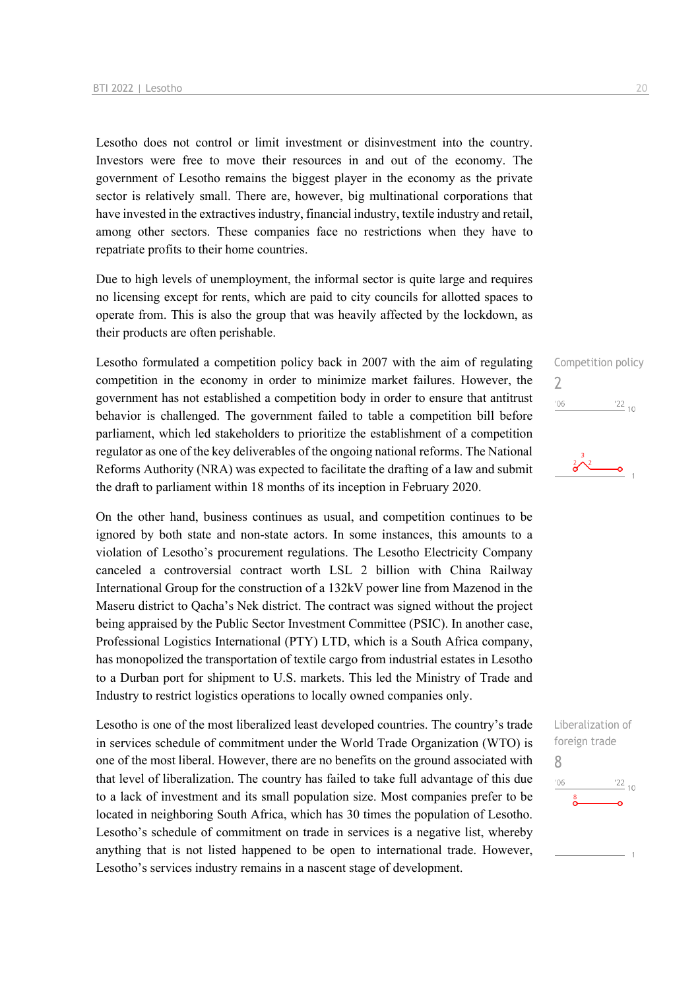Lesotho does not control or limit investment or disinvestment into the country. Investors were free to move their resources in and out of the economy. The government of Lesotho remains the biggest player in the economy as the private sector is relatively small. There are, however, big multinational corporations that have invested in the extractives industry, financial industry, textile industry and retail, among other sectors. These companies face no restrictions when they have to repatriate profits to their home countries.

Due to high levels of unemployment, the informal sector is quite large and requires no licensing except for rents, which are paid to city councils for allotted spaces to operate from. This is also the group that was heavily affected by the lockdown, as their products are often perishable.

Lesotho formulated a competition policy back in 2007 with the aim of regulating competition in the economy in order to minimize market failures. However, the government has not established a competition body in order to ensure that antitrust behavior is challenged. The government failed to table a competition bill before parliament, which led stakeholders to prioritize the establishment of a competition regulator as one of the key deliverables of the ongoing national reforms. The National Reforms Authority (NRA) was expected to facilitate the drafting of a law and submit the draft to parliament within 18 months of its inception in February 2020.

On the other hand, business continues as usual, and competition continues to be ignored by both state and non-state actors. In some instances, this amounts to a violation of Lesotho's procurement regulations. The Lesotho Electricity Company canceled a controversial contract worth LSL 2 billion with China Railway International Group for the construction of a 132kV power line from Mazenod in the Maseru district to Qacha's Nek district. The contract was signed without the project being appraised by the Public Sector Investment Committee (PSIC). In another case, Professional Logistics International (PTY) LTD, which is a South Africa company, has monopolized the transportation of textile cargo from industrial estates in Lesotho to a Durban port for shipment to U.S. markets. This led the Ministry of Trade and Industry to restrict logistics operations to locally owned companies only.

Lesotho is one of the most liberalized least developed countries. The country's trade in services schedule of commitment under the World Trade Organization (WTO) is one of the most liberal. However, there are no benefits on the ground associated with that level of liberalization. The country has failed to take full advantage of this due to a lack of investment and its small population size. Most companies prefer to be located in neighboring South Africa, which has 30 times the population of Lesotho. Lesotho's schedule of commitment on trade in services is a negative list, whereby anything that is not listed happened to be open to international trade. However, Lesotho's services industry remains in a nascent stage of development.

## Competition policy  $\overline{\phantom{0}}$  $\frac{22}{10}$  $'06$



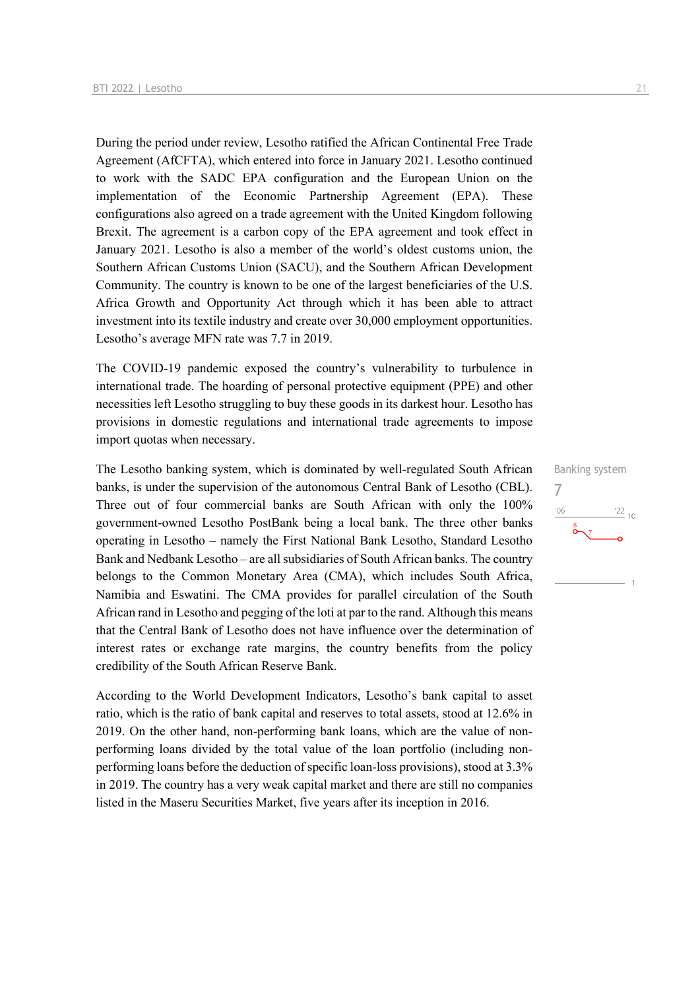During the period under review, Lesotho ratified the African Continental Free Trade Agreement (AfCFTA), which entered into force in January 2021. Lesotho continued to work with the SADC EPA configuration and the European Union on the implementation of the Economic Partnership Agreement (EPA). These configurations also agreed on a trade agreement with the United Kingdom following Brexit. The agreement is a carbon copy of the EPA agreement and took effect in January 2021. Lesotho is also a member of the world's oldest customs union, the Southern African Customs Union (SACU), and the Southern African Development Community. The country is known to be one of the largest beneficiaries of the U.S. Africa Growth and Opportunity Act through which it has been able to attract investment into its textile industry and create over 30,000 employment opportunities. Lesotho's average MFN rate was 7.7 in 2019.

The COVID-19 pandemic exposed the country's vulnerability to turbulence in international trade. The hoarding of personal protective equipment (PPE) and other necessities left Lesotho struggling to buy these goods in its darkest hour. Lesotho has provisions in domestic regulations and international trade agreements to impose import quotas when necessary.

The Lesotho banking system, which is dominated by well-regulated South African banks, is under the supervision of the autonomous Central Bank of Lesotho (CBL). Three out of four commercial banks are South African with only the 100% government-owned Lesotho PostBank being a local bank. The three other banks operating in Lesotho – namely the First National Bank Lesotho, Standard Lesotho Bank and Nedbank Lesotho – are all subsidiaries of South African banks. The country belongs to the Common Monetary Area (CMA), which includes South Africa, Namibia and Eswatini. The CMA provides for parallel circulation of the South African rand in Lesotho and pegging of the loti at par to the rand. Although this means that the Central Bank of Lesotho does not have influence over the determination of interest rates or exchange rate margins, the country benefits from the policy credibility of the South African Reserve Bank.

According to the World Development Indicators, Lesotho's bank capital to asset ratio, which is the ratio of bank capital and reserves to total assets, stood at 12.6% in 2019. On the other hand, non-performing bank loans, which are the value of nonperforming loans divided by the total value of the loan portfolio (including nonperforming loans before the deduction of specific loan-loss provisions), stood at 3.3% in 2019. The country has a very weak capital market and there are still no companies listed in the Maseru Securities Market, five years after its inception in 2016.

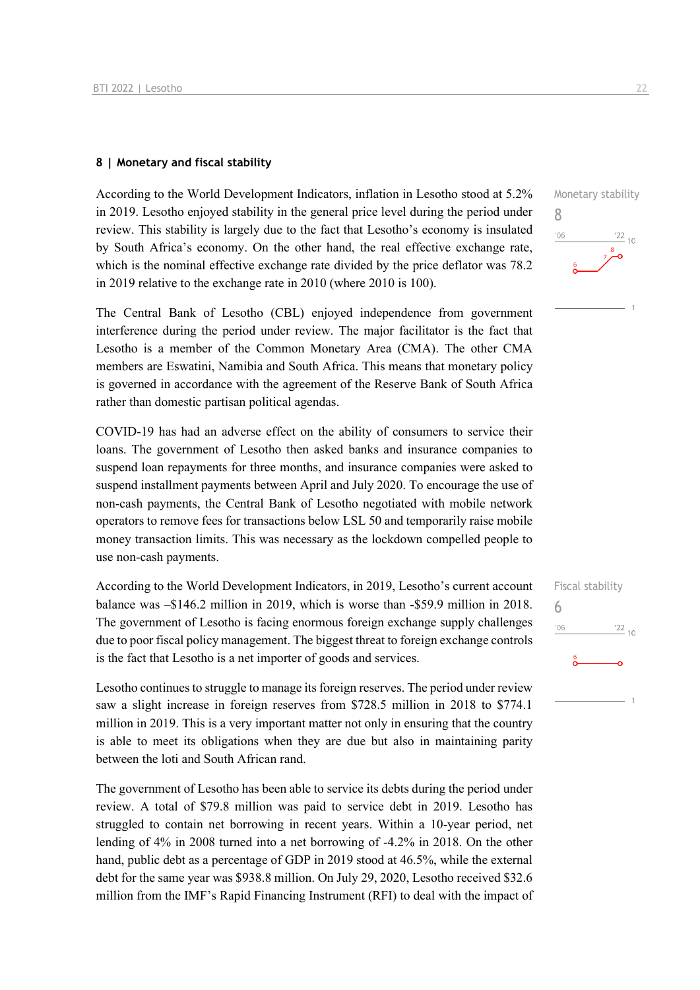### **8 | Monetary and fiscal stability**

According to the World Development Indicators, inflation in Lesotho stood at 5.2% in 2019. Lesotho enjoyed stability in the general price level during the period under review. This stability is largely due to the fact that Lesotho's economy is insulated by South Africa's economy. On the other hand, the real effective exchange rate, which is the nominal effective exchange rate divided by the price deflator was 78.2 in 2019 relative to the exchange rate in 2010 (where 2010 is 100).

The Central Bank of Lesotho (CBL) enjoyed independence from government interference during the period under review. The major facilitator is the fact that Lesotho is a member of the Common Monetary Area (CMA). The other CMA members are Eswatini, Namibia and South Africa. This means that monetary policy is governed in accordance with the agreement of the Reserve Bank of South Africa rather than domestic partisan political agendas.

COVID-19 has had an adverse effect on the ability of consumers to service their loans. The government of Lesotho then asked banks and insurance companies to suspend loan repayments for three months, and insurance companies were asked to suspend installment payments between April and July 2020. To encourage the use of non-cash payments, the Central Bank of Lesotho negotiated with mobile network operators to remove fees for transactions below LSL 50 and temporarily raise mobile money transaction limits. This was necessary as the lockdown compelled people to use non-cash payments.

According to the World Development Indicators, in 2019, Lesotho's current account balance was –\$146.2 million in 2019, which is worse than -\$59.9 million in 2018. The government of Lesotho is facing enormous foreign exchange supply challenges due to poor fiscal policy management. The biggest threat to foreign exchange controls is the fact that Lesotho is a net importer of goods and services.

Lesotho continues to struggle to manage its foreign reserves. The period under review saw a slight increase in foreign reserves from \$728.5 million in 2018 to \$774.1 million in 2019. This is a very important matter not only in ensuring that the country is able to meet its obligations when they are due but also in maintaining parity between the loti and South African rand.

The government of Lesotho has been able to service its debts during the period under review. A total of \$79.8 million was paid to service debt in 2019. Lesotho has struggled to contain net borrowing in recent years. Within a 10-year period, net lending of 4% in 2008 turned into a net borrowing of -4.2% in 2018. On the other hand, public debt as a percentage of GDP in 2019 stood at 46.5%, while the external debt for the same year was \$938.8 million. On July 29, 2020, Lesotho received \$32.6 million from the IMF's Rapid Financing Instrument (RFI) to deal with the impact of  $\frac{22}{10}$ 

8

 $'06$ 

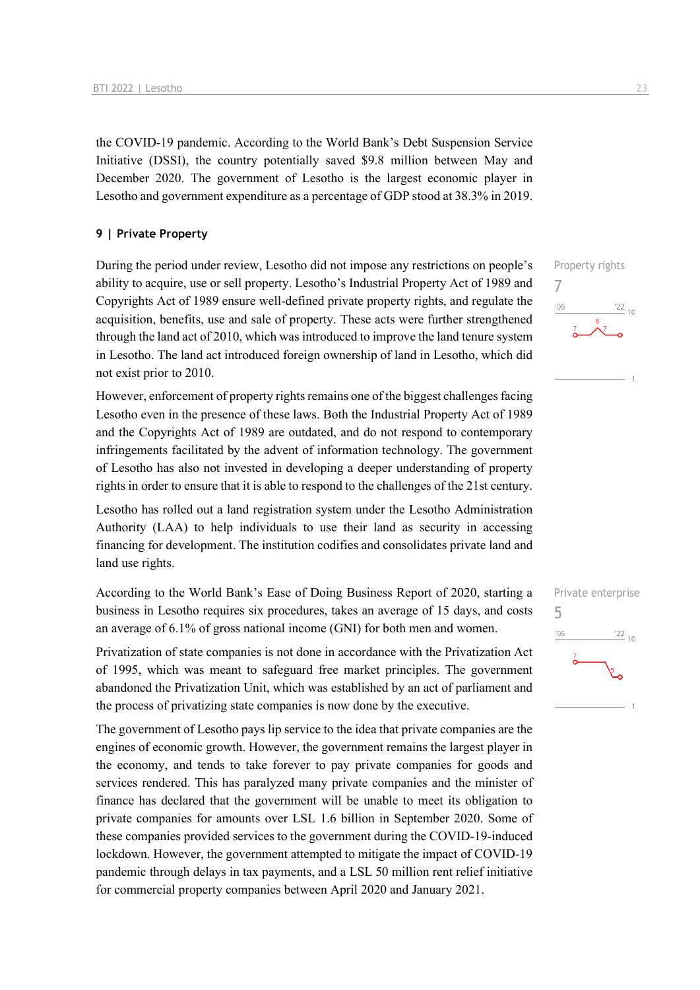the COVID-19 pandemic. According to the World Bank's Debt Suspension Service Initiative (DSSI), the country potentially saved \$9.8 million between May and December 2020. The government of Lesotho is the largest economic player in Lesotho and government expenditure as a percentage of GDP stood at 38.3% in 2019.

### **9 | Private Property**

During the period under review, Lesotho did not impose any restrictions on people's ability to acquire, use or sell property. Lesotho's Industrial Property Act of 1989 and Copyrights Act of 1989 ensure well-defined private property rights, and regulate the acquisition, benefits, use and sale of property. These acts were further strengthened through the land act of 2010, which was introduced to improve the land tenure system in Lesotho. The land act introduced foreign ownership of land in Lesotho, which did not exist prior to 2010.

However, enforcement of property rights remains one of the biggest challenges facing Lesotho even in the presence of these laws. Both the Industrial Property Act of 1989 and the Copyrights Act of 1989 are outdated, and do not respond to contemporary infringements facilitated by the advent of information technology. The government of Lesotho has also not invested in developing a deeper understanding of property rights in order to ensure that it is able to respond to the challenges of the 21st century.

Lesotho has rolled out a land registration system under the Lesotho Administration Authority (LAA) to help individuals to use their land as security in accessing financing for development. The institution codifies and consolidates private land and land use rights.

According to the World Bank's Ease of Doing Business Report of 2020, starting a business in Lesotho requires six procedures, takes an average of 15 days, and costs an average of 6.1% of gross national income (GNI) for both men and women.

Privatization of state companies is not done in accordance with the Privatization Act of 1995, which was meant to safeguard free market principles. The government abandoned the Privatization Unit, which was established by an act of parliament and the process of privatizing state companies is now done by the executive.

The government of Lesotho pays lip service to the idea that private companies are the engines of economic growth. However, the government remains the largest player in the economy, and tends to take forever to pay private companies for goods and services rendered. This has paralyzed many private companies and the minister of finance has declared that the government will be unable to meet its obligation to private companies for amounts over LSL 1.6 billion in September 2020. Some of these companies provided services to the government during the COVID-19-induced lockdown. However, the government attempted to mitigate the impact of COVID-19 pandemic through delays in tax payments, and a LSL 50 million rent relief initiative for commercial property companies between April 2020 and January 2021.



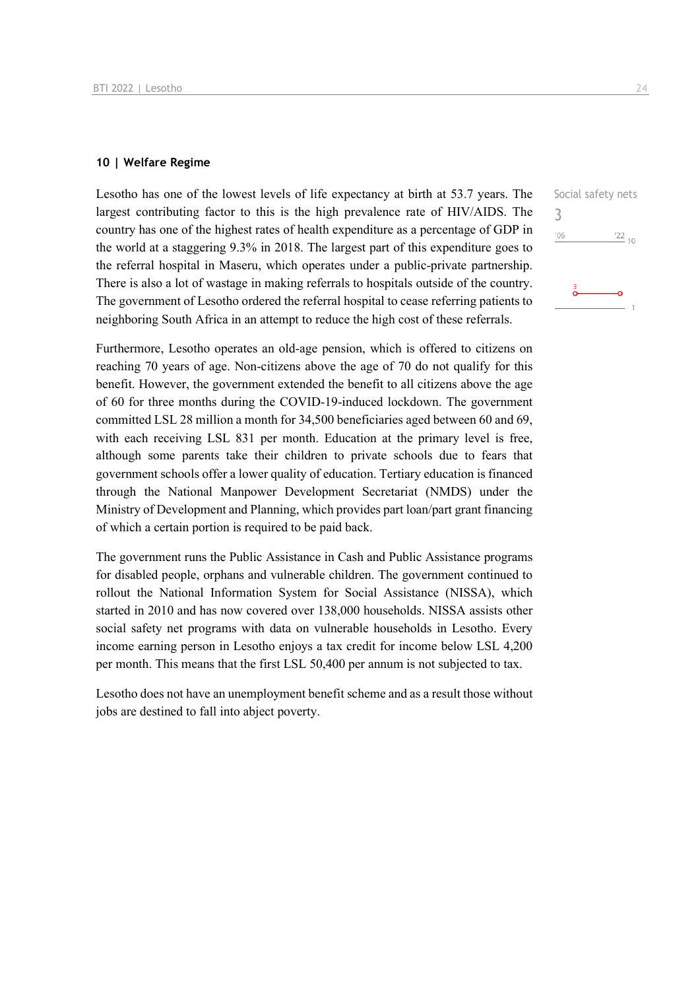### **10 | Welfare Regime**

Lesotho has one of the lowest levels of life expectancy at birth at 53.7 years. The largest contributing factor to this is the high prevalence rate of HIV/AIDS. The country has one of the highest rates of health expenditure as a percentage of GDP in the world at a staggering 9.3% in 2018. The largest part of this expenditure goes to the referral hospital in Maseru, which operates under a public-private partnership. There is also a lot of wastage in making referrals to hospitals outside of the country. The government of Lesotho ordered the referral hospital to cease referring patients to neighboring South Africa in an attempt to reduce the high cost of these referrals.

Furthermore, Lesotho operates an old-age pension, which is offered to citizens on reaching 70 years of age. Non-citizens above the age of 70 do not qualify for this benefit. However, the government extended the benefit to all citizens above the age of 60 for three months during the COVID-19-induced lockdown. The government committed LSL 28 million a month for 34,500 beneficiaries aged between 60 and 69, with each receiving LSL 831 per month. Education at the primary level is free, although some parents take their children to private schools due to fears that government schools offer a lower quality of education. Tertiary education is financed through the National Manpower Development Secretariat (NMDS) under the Ministry of Development and Planning, which provides part loan/part grant financing of which a certain portion is required to be paid back.

The government runs the Public Assistance in Cash and Public Assistance programs for disabled people, orphans and vulnerable children. The government continued to rollout the National Information System for Social Assistance (NISSA), which started in 2010 and has now covered over 138,000 households. NISSA assists other social safety net programs with data on vulnerable households in Lesotho. Every income earning person in Lesotho enjoys a tax credit for income below LSL 4,200 per month. This means that the first LSL 50,400 per annum is not subjected to tax.

Lesotho does not have an unemployment benefit scheme and as a result those without jobs are destined to fall into abject poverty.

Social safety nets 3 $'06$  $^{22}$  10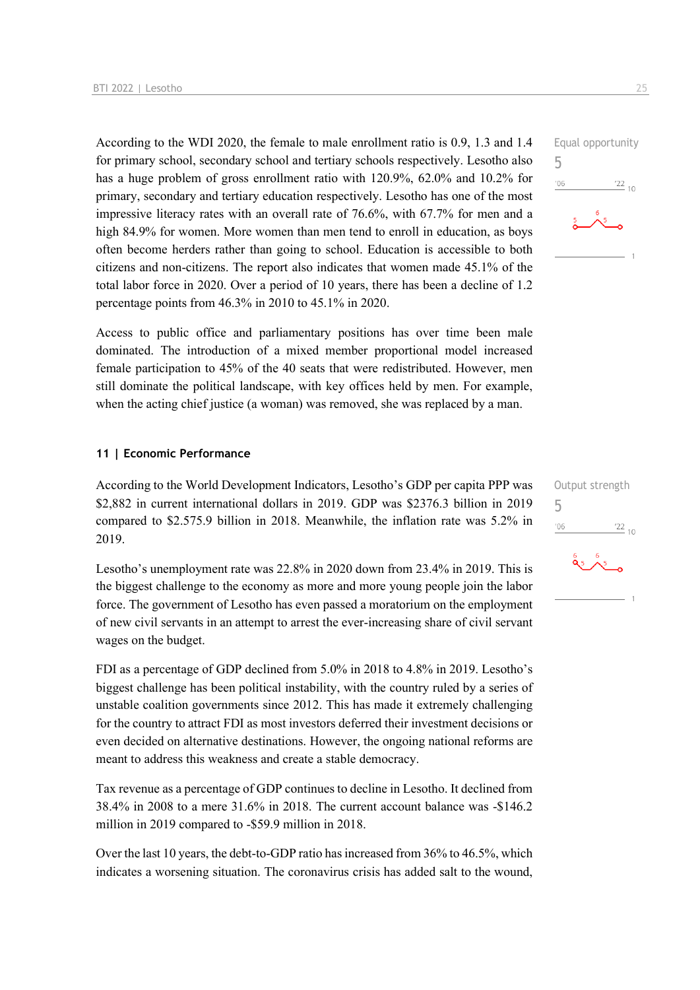According to the WDI 2020, the female to male enrollment ratio is 0.9, 1.3 and 1.4 for primary school, secondary school and tertiary schools respectively. Lesotho also has a huge problem of gross enrollment ratio with 120.9%, 62.0% and 10.2% for primary, secondary and tertiary education respectively. Lesotho has one of the most impressive literacy rates with an overall rate of 76.6%, with 67.7% for men and a high 84.9% for women. More women than men tend to enroll in education, as boys often become herders rather than going to school. Education is accessible to both citizens and non-citizens. The report also indicates that women made 45.1% of the total labor force in 2020. Over a period of 10 years, there has been a decline of 1.2 percentage points from 46.3% in 2010 to 45.1% in 2020.

Access to public office and parliamentary positions has over time been male dominated. The introduction of a mixed member proportional model increased female participation to 45% of the 40 seats that were redistributed. However, men still dominate the political landscape, with key offices held by men. For example, when the acting chief justice (a woman) was removed, she was replaced by a man.

#### **11 | Economic Performance**

According to the World Development Indicators, Lesotho's GDP per capita PPP was \$2,882 in current international dollars in 2019. GDP was \$2376.3 billion in 2019 compared to \$2.575.9 billion in 2018. Meanwhile, the inflation rate was 5.2% in 2019.

Lesotho's unemployment rate was 22.8% in 2020 down from 23.4% in 2019. This is the biggest challenge to the economy as more and more young people join the labor force. The government of Lesotho has even passed a moratorium on the employment of new civil servants in an attempt to arrest the ever-increasing share of civil servant wages on the budget.

FDI as a percentage of GDP declined from 5.0% in 2018 to 4.8% in 2019. Lesotho's biggest challenge has been political instability, with the country ruled by a series of unstable coalition governments since 2012. This has made it extremely challenging for the country to attract FDI as most investors deferred their investment decisions or even decided on alternative destinations. However, the ongoing national reforms are meant to address this weakness and create a stable democracy.

Tax revenue as a percentage of GDP continues to decline in Lesotho. It declined from 38.4% in 2008 to a mere 31.6% in 2018. The current account balance was -\$146.2 million in 2019 compared to -\$59.9 million in 2018.

Over the last 10 years, the debt-to-GDP ratio has increased from 36% to 46.5%, which indicates a worsening situation. The coronavirus crisis has added salt to the wound,



|     | Output strength |
|-----|-----------------|
| 5   |                 |
| '06 | $122_{10}$      |
|     |                 |

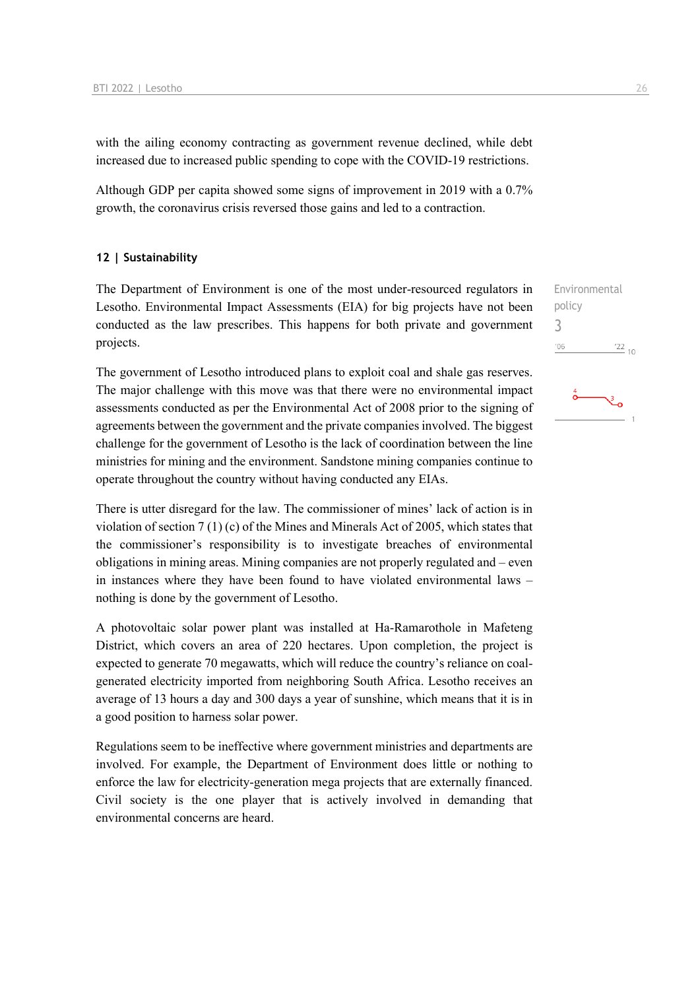with the ailing economy contracting as government revenue declined, while debt increased due to increased public spending to cope with the COVID-19 restrictions.

Although GDP per capita showed some signs of improvement in 2019 with a 0.7% growth, the coronavirus crisis reversed those gains and led to a contraction.

### **12 | Sustainability**

The Department of Environment is one of the most under-resourced regulators in Lesotho. Environmental Impact Assessments (EIA) for big projects have not been conducted as the law prescribes. This happens for both private and government projects.

The government of Lesotho introduced plans to exploit coal and shale gas reserves. The major challenge with this move was that there were no environmental impact assessments conducted as per the Environmental Act of 2008 prior to the signing of agreements between the government and the private companies involved. The biggest challenge for the government of Lesotho is the lack of coordination between the line ministries for mining and the environment. Sandstone mining companies continue to operate throughout the country without having conducted any EIAs.

There is utter disregard for the law. The commissioner of mines' lack of action is in violation of section 7 (1) (c) of the Mines and Minerals Act of 2005, which states that the commissioner's responsibility is to investigate breaches of environmental obligations in mining areas. Mining companies are not properly regulated and – even in instances where they have been found to have violated environmental laws – nothing is done by the government of Lesotho.

A photovoltaic solar power plant was installed at Ha-Ramarothole in Mafeteng District, which covers an area of 220 hectares. Upon completion, the project is expected to generate 70 megawatts, which will reduce the country's reliance on coalgenerated electricity imported from neighboring South Africa. Lesotho receives an average of 13 hours a day and 300 days a year of sunshine, which means that it is in a good position to harness solar power.

Regulations seem to be ineffective where government ministries and departments are involved. For example, the Department of Environment does little or nothing to enforce the law for electricity-generation mega projects that are externally financed. Civil society is the one player that is actively involved in demanding that environmental concerns are heard.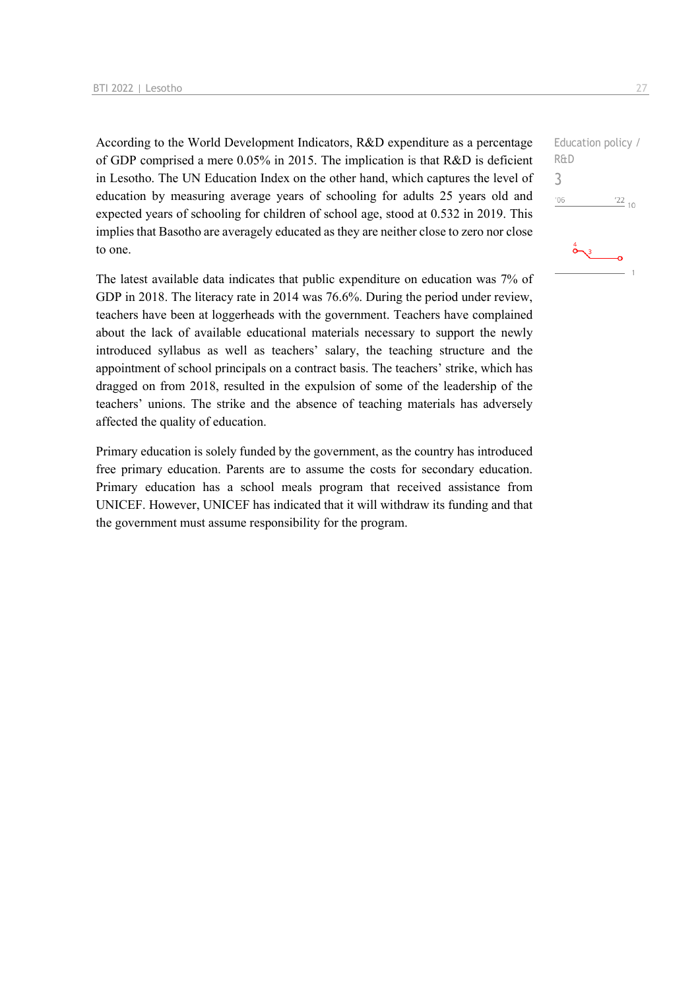According to the World Development Indicators, R&D expenditure as a percentage of GDP comprised a mere 0.05% in 2015. The implication is that R&D is deficient in Lesotho. The UN Education Index on the other hand, which captures the level of education by measuring average years of schooling for adults 25 years old and expected years of schooling for children of school age, stood at 0.532 in 2019. This implies that Basotho are averagely educated as they are neither close to zero nor close to one.

The latest available data indicates that public expenditure on education was 7% of GDP in 2018. The literacy rate in 2014 was 76.6%. During the period under review, teachers have been at loggerheads with the government. Teachers have complained about the lack of available educational materials necessary to support the newly introduced syllabus as well as teachers' salary, the teaching structure and the appointment of school principals on a contract basis. The teachers' strike, which has dragged on from 2018, resulted in the expulsion of some of the leadership of the teachers' unions. The strike and the absence of teaching materials has adversely affected the quality of education.

Primary education is solely funded by the government, as the country has introduced free primary education. Parents are to assume the costs for secondary education. Primary education has a school meals program that received assistance from UNICEF. However, UNICEF has indicated that it will withdraw its funding and that the government must assume responsibility for the program.

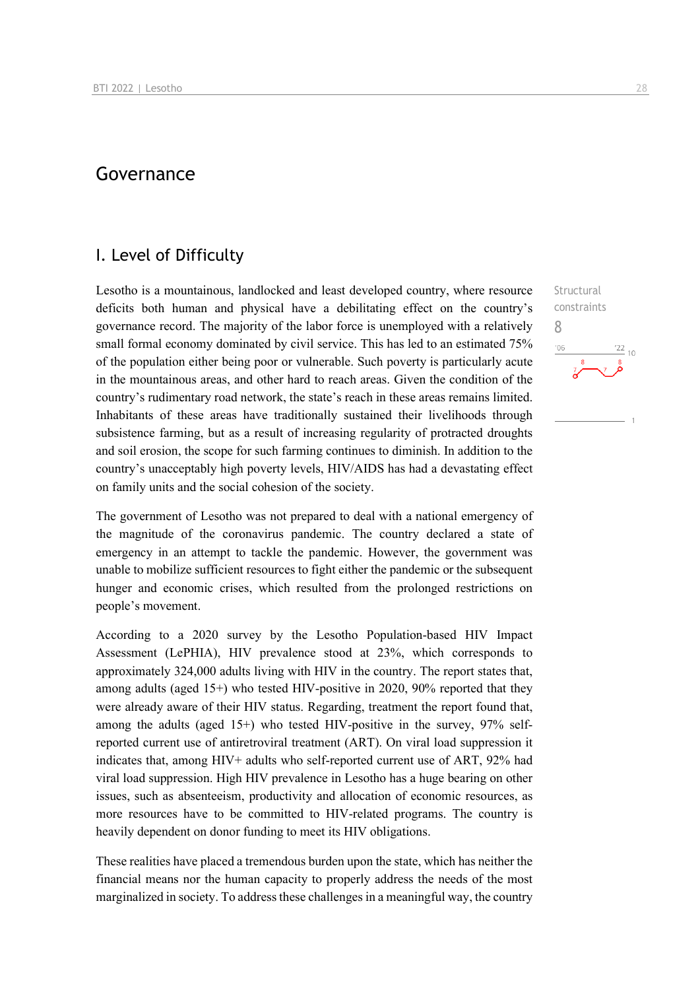### Governance

### I. Level of Difficulty

Lesotho is a mountainous, landlocked and least developed country, where resource deficits both human and physical have a debilitating effect on the country's governance record. The majority of the labor force is unemployed with a relatively small formal economy dominated by civil service. This has led to an estimated 75% of the population either being poor or vulnerable. Such poverty is particularly acute in the mountainous areas, and other hard to reach areas. Given the condition of the country's rudimentary road network, the state's reach in these areas remains limited. Inhabitants of these areas have traditionally sustained their livelihoods through subsistence farming, but as a result of increasing regularity of protracted droughts and soil erosion, the scope for such farming continues to diminish. In addition to the country's unacceptably high poverty levels, HIV/AIDS has had a devastating effect on family units and the social cohesion of the society.

The government of Lesotho was not prepared to deal with a national emergency of the magnitude of the coronavirus pandemic. The country declared a state of emergency in an attempt to tackle the pandemic. However, the government was unable to mobilize sufficient resources to fight either the pandemic or the subsequent hunger and economic crises, which resulted from the prolonged restrictions on people's movement.

According to a 2020 survey by the Lesotho Population-based HIV Impact Assessment (LePHIA), HIV prevalence stood at 23%, which corresponds to approximately 324,000 adults living with HIV in the country. The report states that, among adults (aged  $15+$ ) who tested HIV-positive in 2020, 90% reported that they were already aware of their HIV status. Regarding, treatment the report found that, among the adults (aged 15+) who tested HIV-positive in the survey, 97% selfreported current use of antiretroviral treatment (ART). On viral load suppression it indicates that, among HIV+ adults who self-reported current use of ART, 92% had viral load suppression. High HIV prevalence in Lesotho has a huge bearing on other issues, such as absenteeism, productivity and allocation of economic resources, as more resources have to be committed to HIV-related programs. The country is heavily dependent on donor funding to meet its HIV obligations.

These realities have placed a tremendous burden upon the state, which has neither the financial means nor the human capacity to properly address the needs of the most marginalized in society. To address these challenges in a meaningful way, the country Structural constraints 8 $\frac{22}{10}$  $106$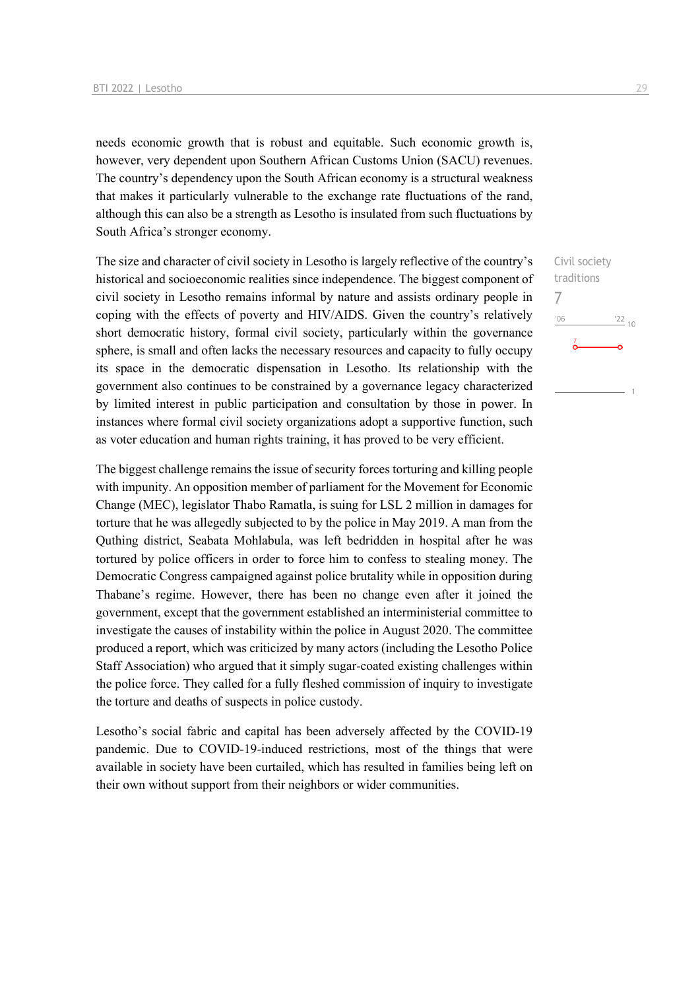needs economic growth that is robust and equitable. Such economic growth is, however, very dependent upon Southern African Customs Union (SACU) revenues. The country's dependency upon the South African economy is a structural weakness that makes it particularly vulnerable to the exchange rate fluctuations of the rand, although this can also be a strength as Lesotho is insulated from such fluctuations by South Africa's stronger economy.

The size and character of civil society in Lesotho is largely reflective of the country's historical and socioeconomic realities since independence. The biggest component of civil society in Lesotho remains informal by nature and assists ordinary people in coping with the effects of poverty and HIV/AIDS. Given the country's relatively short democratic history, formal civil society, particularly within the governance sphere, is small and often lacks the necessary resources and capacity to fully occupy its space in the democratic dispensation in Lesotho. Its relationship with the government also continues to be constrained by a governance legacy characterized by limited interest in public participation and consultation by those in power. In instances where formal civil society organizations adopt a supportive function, such as voter education and human rights training, it has proved to be very efficient.

The biggest challenge remains the issue of security forces torturing and killing people with impunity. An opposition member of parliament for the Movement for Economic Change (MEC), legislator Thabo Ramatla, is suing for LSL 2 million in damages for torture that he was allegedly subjected to by the police in May 2019. A man from the Quthing district, Seabata Mohlabula, was left bedridden in hospital after he was tortured by police officers in order to force him to confess to stealing money. The Democratic Congress campaigned against police brutality while in opposition during Thabane's regime. However, there has been no change even after it joined the government, except that the government established an interministerial committee to investigate the causes of instability within the police in August 2020. The committee produced a report, which was criticized by many actors (including the Lesotho Police Staff Association) who argued that it simply sugar-coated existing challenges within the police force. They called for a fully fleshed commission of inquiry to investigate the torture and deaths of suspects in police custody.

Lesotho's social fabric and capital has been adversely affected by the COVID-19 pandemic. Due to COVID-19-induced restrictions, most of the things that were available in society have been curtailed, which has resulted in families being left on their own without support from their neighbors or wider communities.

Civil society traditions 7 $-06$  $^{22}$  10  $\overline{1}$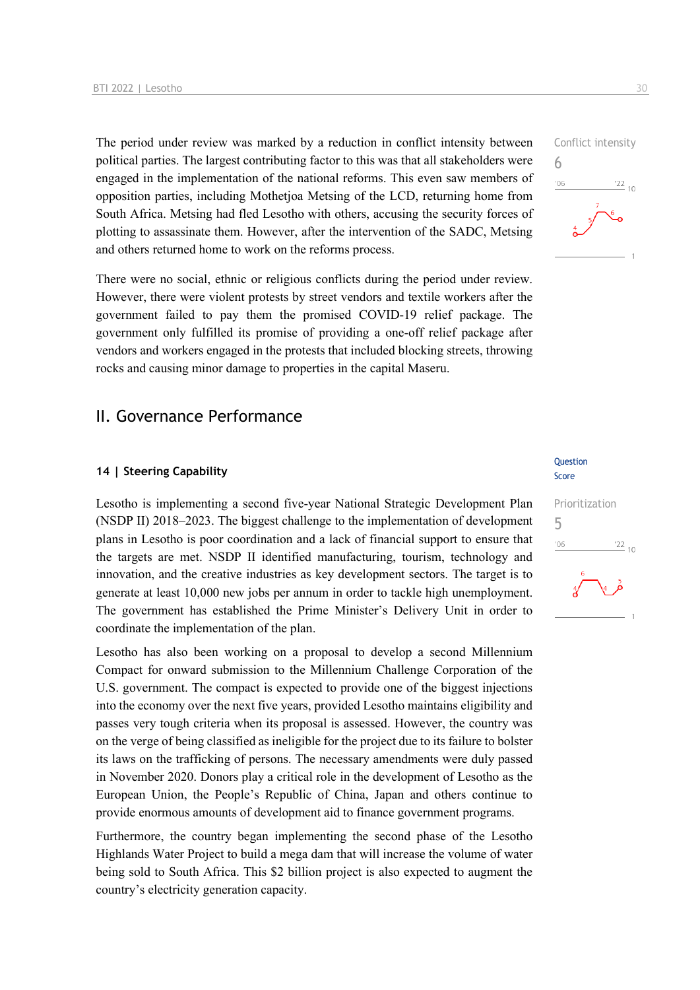The period under review was marked by a reduction in conflict intensity between political parties. The largest contributing factor to this was that all stakeholders were engaged in the implementation of the national reforms. This even saw members of opposition parties, including Mothetjoa Metsing of the LCD, returning home from South Africa. Metsing had fled Lesotho with others, accusing the security forces of plotting to assassinate them. However, after the intervention of the SADC, Metsing and others returned home to work on the reforms process.

There were no social, ethnic or religious conflicts during the period under review. However, there were violent protests by street vendors and textile workers after the government failed to pay them the promised COVID-19 relief package. The government only fulfilled its promise of providing a one-off relief package after vendors and workers engaged in the protests that included blocking streets, throwing rocks and causing minor damage to properties in the capital Maseru.

### II. Governance Performance

### **14 | Steering Capability**

Lesotho is implementing a second five-year National Strategic Development Plan (NSDP II) 2018–2023. The biggest challenge to the implementation of development plans in Lesotho is poor coordination and a lack of financial support to ensure that the targets are met. NSDP II identified manufacturing, tourism, technology and innovation, and the creative industries as key development sectors. The target is to generate at least 10,000 new jobs per annum in order to tackle high unemployment. The government has established the Prime Minister's Delivery Unit in order to coordinate the implementation of the plan.

Lesotho has also been working on a proposal to develop a second Millennium Compact for onward submission to the Millennium Challenge Corporation of the U.S. government. The compact is expected to provide one of the biggest injections into the economy over the next five years, provided Lesotho maintains eligibility and passes very tough criteria when its proposal is assessed. However, the country was on the verge of being classified as ineligible for the project due to its failure to bolster its laws on the trafficking of persons. The necessary amendments were duly passed in November 2020. Donors play a critical role in the development of Lesotho as the European Union, the People's Republic of China, Japan and others continue to provide enormous amounts of development aid to finance government programs.

Furthermore, the country began implementing the second phase of the Lesotho Highlands Water Project to build a mega dam that will increase the volume of water being sold to South Africa. This \$2 billion project is also expected to augment the country's electricity generation capacity.

Question Score

## Prioritization 5 $\frac{22}{10}$  $'06$

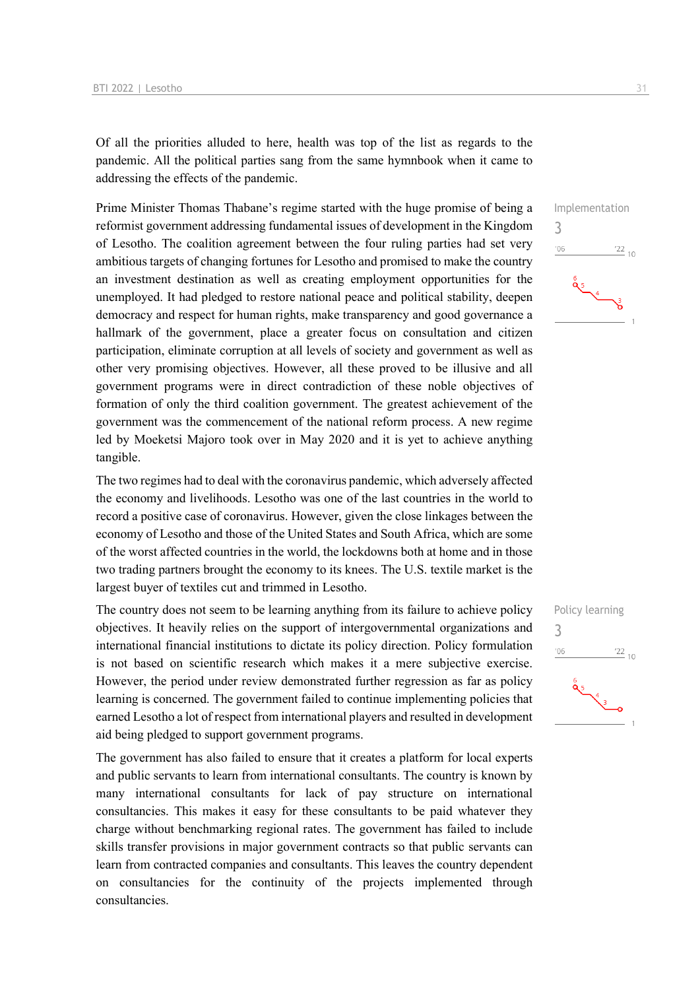Of all the priorities alluded to here, health was top of the list as regards to the pandemic. All the political parties sang from the same hymnbook when it came to addressing the effects of the pandemic.

Prime Minister Thomas Thabane's regime started with the huge promise of being a reformist government addressing fundamental issues of development in the Kingdom of Lesotho. The coalition agreement between the four ruling parties had set very ambitious targets of changing fortunes for Lesotho and promised to make the country an investment destination as well as creating employment opportunities for the unemployed. It had pledged to restore national peace and political stability, deepen democracy and respect for human rights, make transparency and good governance a hallmark of the government, place a greater focus on consultation and citizen participation, eliminate corruption at all levels of society and government as well as other very promising objectives. However, all these proved to be illusive and all government programs were in direct contradiction of these noble objectives of formation of only the third coalition government. The greatest achievement of the government was the commencement of the national reform process. A new regime led by Moeketsi Majoro took over in May 2020 and it is yet to achieve anything tangible.

The two regimes had to deal with the coronavirus pandemic, which adversely affected the economy and livelihoods. Lesotho was one of the last countries in the world to record a positive case of coronavirus. However, given the close linkages between the economy of Lesotho and those of the United States and South Africa, which are some of the worst affected countries in the world, the lockdowns both at home and in those two trading partners brought the economy to its knees. The U.S. textile market is the largest buyer of textiles cut and trimmed in Lesotho.

The country does not seem to be learning anything from its failure to achieve policy objectives. It heavily relies on the support of intergovernmental organizations and international financial institutions to dictate its policy direction. Policy formulation is not based on scientific research which makes it a mere subjective exercise. However, the period under review demonstrated further regression as far as policy learning is concerned. The government failed to continue implementing policies that earned Lesotho a lot of respect from international players and resulted in development aid being pledged to support government programs.

The government has also failed to ensure that it creates a platform for local experts and public servants to learn from international consultants. The country is known by many international consultants for lack of pay structure on international consultancies. This makes it easy for these consultants to be paid whatever they charge without benchmarking regional rates. The government has failed to include skills transfer provisions in major government contracts so that public servants can learn from contracted companies and consultants. This leaves the country dependent on consultancies for the continuity of the projects implemented through consultancies.



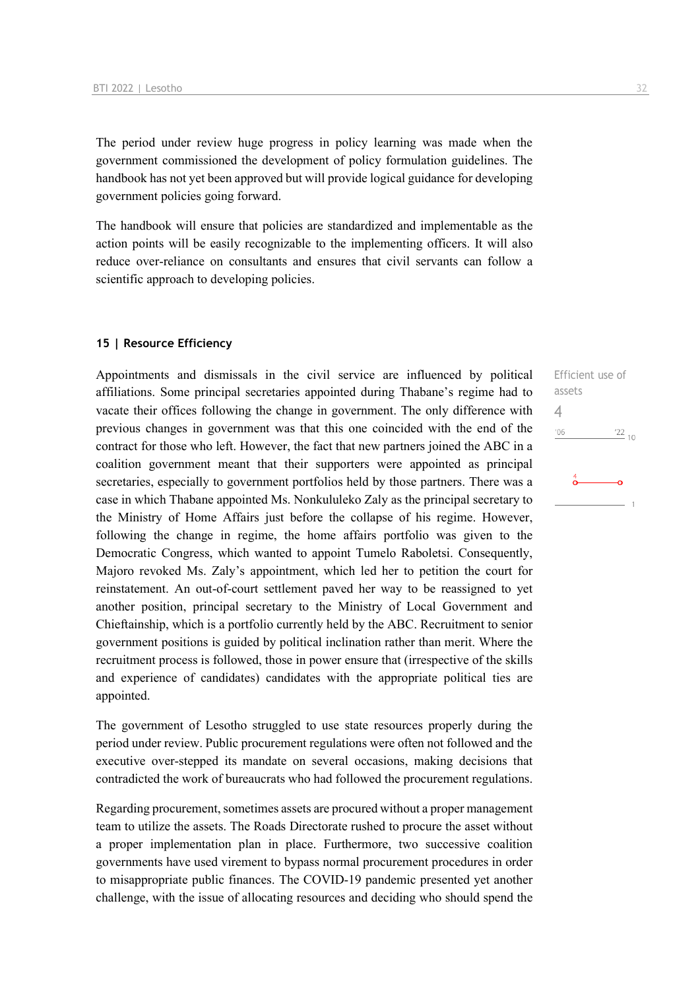The period under review huge progress in policy learning was made when the government commissioned the development of policy formulation guidelines. The handbook has not yet been approved but will provide logical guidance for developing government policies going forward.

The handbook will ensure that policies are standardized and implementable as the action points will be easily recognizable to the implementing officers. It will also reduce over-reliance on consultants and ensures that civil servants can follow a scientific approach to developing policies.

### **15 | Resource Efficiency**

Appointments and dismissals in the civil service are influenced by political affiliations. Some principal secretaries appointed during Thabane's regime had to vacate their offices following the change in government. The only difference with previous changes in government was that this one coincided with the end of the contract for those who left. However, the fact that new partners joined the ABC in a coalition government meant that their supporters were appointed as principal secretaries, especially to government portfolios held by those partners. There was a case in which Thabane appointed Ms. Nonkululeko Zaly as the principal secretary to the Ministry of Home Affairs just before the collapse of his regime. However, following the change in regime, the home affairs portfolio was given to the Democratic Congress, which wanted to appoint Tumelo Raboletsi. Consequently, Majoro revoked Ms. Zaly's appointment, which led her to petition the court for reinstatement. An out-of-court settlement paved her way to be reassigned to yet another position, principal secretary to the Ministry of Local Government and Chieftainship, which is a portfolio currently held by the ABC. Recruitment to senior government positions is guided by political inclination rather than merit. Where the recruitment process is followed, those in power ensure that (irrespective of the skills and experience of candidates) candidates with the appropriate political ties are appointed.

The government of Lesotho struggled to use state resources properly during the period under review. Public procurement regulations were often not followed and the executive over-stepped its mandate on several occasions, making decisions that contradicted the work of bureaucrats who had followed the procurement regulations.

Regarding procurement, sometimes assets are procured without a proper management team to utilize the assets. The Roads Directorate rushed to procure the asset without a proper implementation plan in place. Furthermore, two successive coalition governments have used virement to bypass normal procurement procedures in order to misappropriate public finances. The COVID-19 pandemic presented yet another challenge, with the issue of allocating resources and deciding who should spend the Efficient use of assets 4 $'06$  $\frac{22}{10}$  $\overset{4}{\circ}$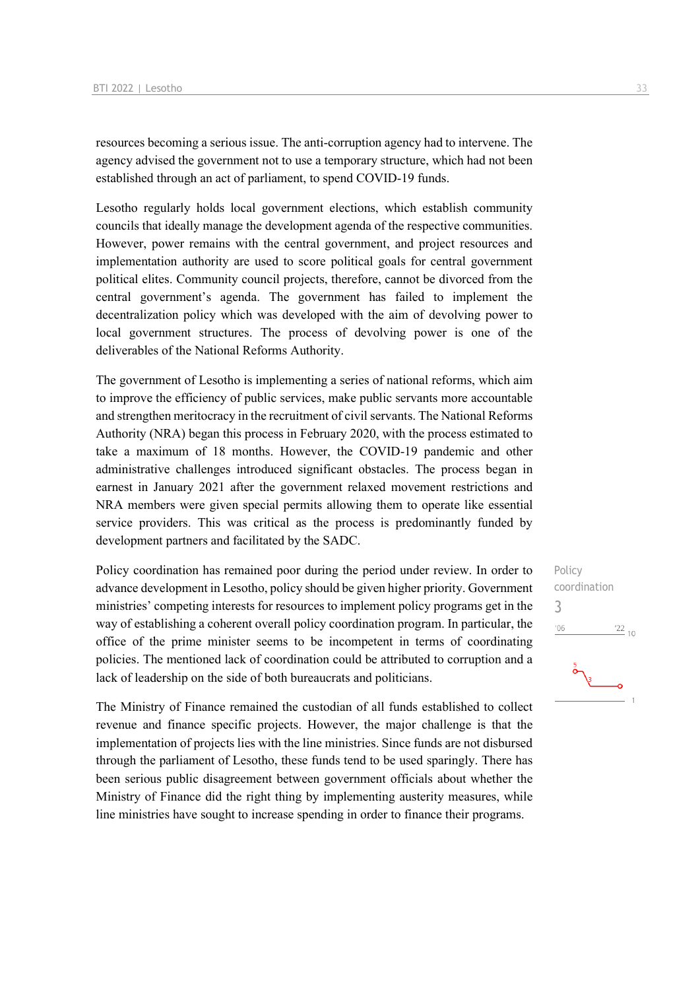resources becoming a serious issue. The anti-corruption agency had to intervene. The agency advised the government not to use a temporary structure, which had not been established through an act of parliament, to spend COVID-19 funds.

Lesotho regularly holds local government elections, which establish community councils that ideally manage the development agenda of the respective communities. However, power remains with the central government, and project resources and implementation authority are used to score political goals for central government political elites. Community council projects, therefore, cannot be divorced from the central government's agenda. The government has failed to implement the decentralization policy which was developed with the aim of devolving power to local government structures. The process of devolving power is one of the deliverables of the National Reforms Authority.

The government of Lesotho is implementing a series of national reforms, which aim to improve the efficiency of public services, make public servants more accountable and strengthen meritocracy in the recruitment of civil servants. The National Reforms Authority (NRA) began this process in February 2020, with the process estimated to take a maximum of 18 months. However, the COVID-19 pandemic and other administrative challenges introduced significant obstacles. The process began in earnest in January 2021 after the government relaxed movement restrictions and NRA members were given special permits allowing them to operate like essential service providers. This was critical as the process is predominantly funded by development partners and facilitated by the SADC.

Policy coordination has remained poor during the period under review. In order to advance development in Lesotho, policy should be given higher priority. Government ministries' competing interests for resources to implement policy programs get in the way of establishing a coherent overall policy coordination program. In particular, the office of the prime minister seems to be incompetent in terms of coordinating policies. The mentioned lack of coordination could be attributed to corruption and a lack of leadership on the side of both bureaucrats and politicians.

The Ministry of Finance remained the custodian of all funds established to collect revenue and finance specific projects. However, the major challenge is that the implementation of projects lies with the line ministries. Since funds are not disbursed through the parliament of Lesotho, these funds tend to be used sparingly. There has been serious public disagreement between government officials about whether the Ministry of Finance did the right thing by implementing austerity measures, while line ministries have sought to increase spending in order to finance their programs.

## Policy coordination 3 $'06$  $\frac{22}{10}$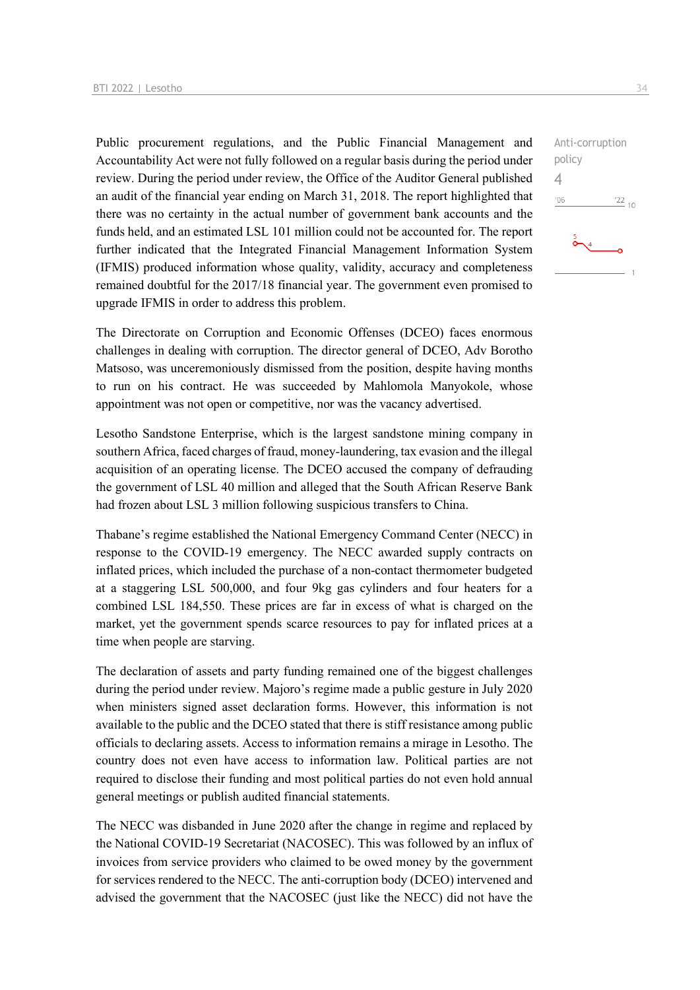Public procurement regulations, and the Public Financial Management and Accountability Act were not fully followed on a regular basis during the period under review. During the period under review, the Office of the Auditor General published an audit of the financial year ending on March 31, 2018. The report highlighted that there was no certainty in the actual number of government bank accounts and the funds held, and an estimated LSL 101 million could not be accounted for. The report further indicated that the Integrated Financial Management Information System (IFMIS) produced information whose quality, validity, accuracy and completeness remained doubtful for the 2017/18 financial year. The government even promised to upgrade IFMIS in order to address this problem.

The Directorate on Corruption and Economic Offenses (DCEO) faces enormous challenges in dealing with corruption. The director general of DCEO, Adv Borotho Matsoso, was unceremoniously dismissed from the position, despite having months to run on his contract. He was succeeded by Mahlomola Manyokole, whose appointment was not open or competitive, nor was the vacancy advertised.

Lesotho Sandstone Enterprise, which is the largest sandstone mining company in southern Africa, faced charges of fraud, money-laundering, tax evasion and the illegal acquisition of an operating license. The DCEO accused the company of defrauding the government of LSL 40 million and alleged that the South African Reserve Bank had frozen about LSL 3 million following suspicious transfers to China.

Thabane's regime established the National Emergency Command Center (NECC) in response to the COVID-19 emergency. The NECC awarded supply contracts on inflated prices, which included the purchase of a non-contact thermometer budgeted at a staggering LSL 500,000, and four 9kg gas cylinders and four heaters for a combined LSL 184,550. These prices are far in excess of what is charged on the market, yet the government spends scarce resources to pay for inflated prices at a time when people are starving.

The declaration of assets and party funding remained one of the biggest challenges during the period under review. Majoro's regime made a public gesture in July 2020 when ministers signed asset declaration forms. However, this information is not available to the public and the DCEO stated that there is stiff resistance among public officials to declaring assets. Access to information remains a mirage in Lesotho. The country does not even have access to information law. Political parties are not required to disclose their funding and most political parties do not even hold annual general meetings or publish audited financial statements.

The NECC was disbanded in June 2020 after the change in regime and replaced by the National COVID-19 Secretariat (NACOSEC). This was followed by an influx of invoices from service providers who claimed to be owed money by the government for services rendered to the NECC. The anti-corruption body (DCEO) intervened and advised the government that the NACOSEC (just like the NECC) did not have the

Anti-corruption policy  $\Delta$  $'06$  $^{22}$  10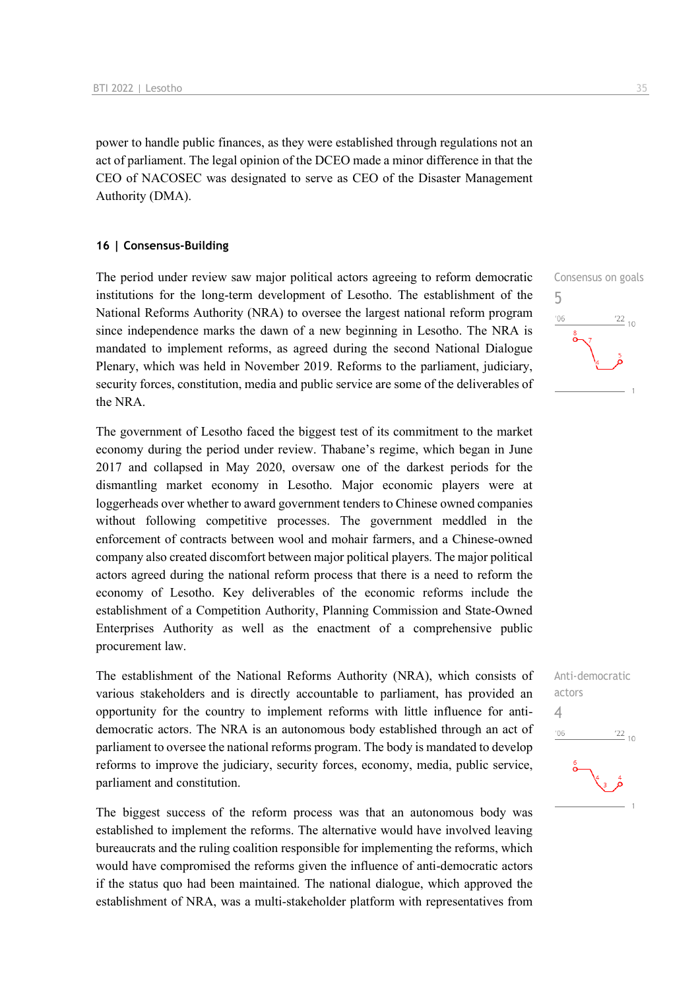power to handle public finances, as they were established through regulations not an act of parliament. The legal opinion of the DCEO made a minor difference in that the CEO of NACOSEC was designated to serve as CEO of the Disaster Management Authority (DMA).

### **16 | Consensus-Building**

The period under review saw major political actors agreeing to reform democratic institutions for the long-term development of Lesotho. The establishment of the National Reforms Authority (NRA) to oversee the largest national reform program since independence marks the dawn of a new beginning in Lesotho. The NRA is mandated to implement reforms, as agreed during the second National Dialogue Plenary, which was held in November 2019. Reforms to the parliament, judiciary, security forces, constitution, media and public service are some of the deliverables of the NRA.

The government of Lesotho faced the biggest test of its commitment to the market economy during the period under review. Thabane's regime, which began in June 2017 and collapsed in May 2020, oversaw one of the darkest periods for the dismantling market economy in Lesotho. Major economic players were at loggerheads over whether to award government tenders to Chinese owned companies without following competitive processes. The government meddled in the enforcement of contracts between wool and mohair farmers, and a Chinese-owned company also created discomfort between major political players. The major political actors agreed during the national reform process that there is a need to reform the economy of Lesotho. Key deliverables of the economic reforms include the establishment of a Competition Authority, Planning Commission and State-Owned Enterprises Authority as well as the enactment of a comprehensive public procurement law.

The establishment of the National Reforms Authority (NRA), which consists of various stakeholders and is directly accountable to parliament, has provided an opportunity for the country to implement reforms with little influence for antidemocratic actors. The NRA is an autonomous body established through an act of parliament to oversee the national reforms program. The body is mandated to develop reforms to improve the judiciary, security forces, economy, media, public service, parliament and constitution.

The biggest success of the reform process was that an autonomous body was established to implement the reforms. The alternative would have involved leaving bureaucrats and the ruling coalition responsible for implementing the reforms, which would have compromised the reforms given the influence of anti-democratic actors if the status quo had been maintained. The national dialogue, which approved the establishment of NRA, was a multi-stakeholder platform with representatives from



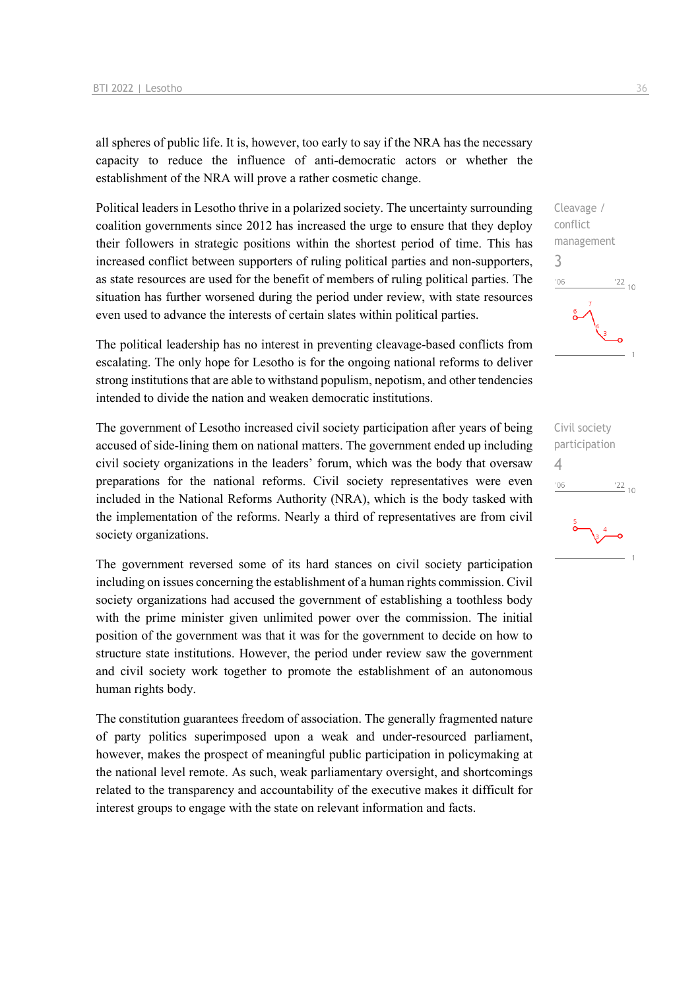all spheres of public life. It is, however, too early to say if the NRA has the necessary capacity to reduce the influence of anti-democratic actors or whether the establishment of the NRA will prove a rather cosmetic change.

Political leaders in Lesotho thrive in a polarized society. The uncertainty surrounding coalition governments since 2012 has increased the urge to ensure that they deploy their followers in strategic positions within the shortest period of time. This has increased conflict between supporters of ruling political parties and non-supporters, as state resources are used for the benefit of members of ruling political parties. The situation has further worsened during the period under review, with state resources even used to advance the interests of certain slates within political parties.

The political leadership has no interest in preventing cleavage-based conflicts from escalating. The only hope for Lesotho is for the ongoing national reforms to deliver strong institutions that are able to withstand populism, nepotism, and other tendencies intended to divide the nation and weaken democratic institutions.

The government of Lesotho increased civil society participation after years of being accused of side-lining them on national matters. The government ended up including civil society organizations in the leaders' forum, which was the body that oversaw preparations for the national reforms. Civil society representatives were even included in the National Reforms Authority (NRA), which is the body tasked with the implementation of the reforms. Nearly a third of representatives are from civil society organizations.

The government reversed some of its hard stances on civil society participation including on issues concerning the establishment of a human rights commission. Civil society organizations had accused the government of establishing a toothless body with the prime minister given unlimited power over the commission. The initial position of the government was that it was for the government to decide on how to structure state institutions. However, the period under review saw the government and civil society work together to promote the establishment of an autonomous human rights body.

The constitution guarantees freedom of association. The generally fragmented nature of party politics superimposed upon a weak and under-resourced parliament, however, makes the prospect of meaningful public participation in policymaking at the national level remote. As such, weak parliamentary oversight, and shortcomings related to the transparency and accountability of the executive makes it difficult for interest groups to engage with the state on relevant information and facts.



Civil society participation 4 $'06$  $\frac{22}{10}$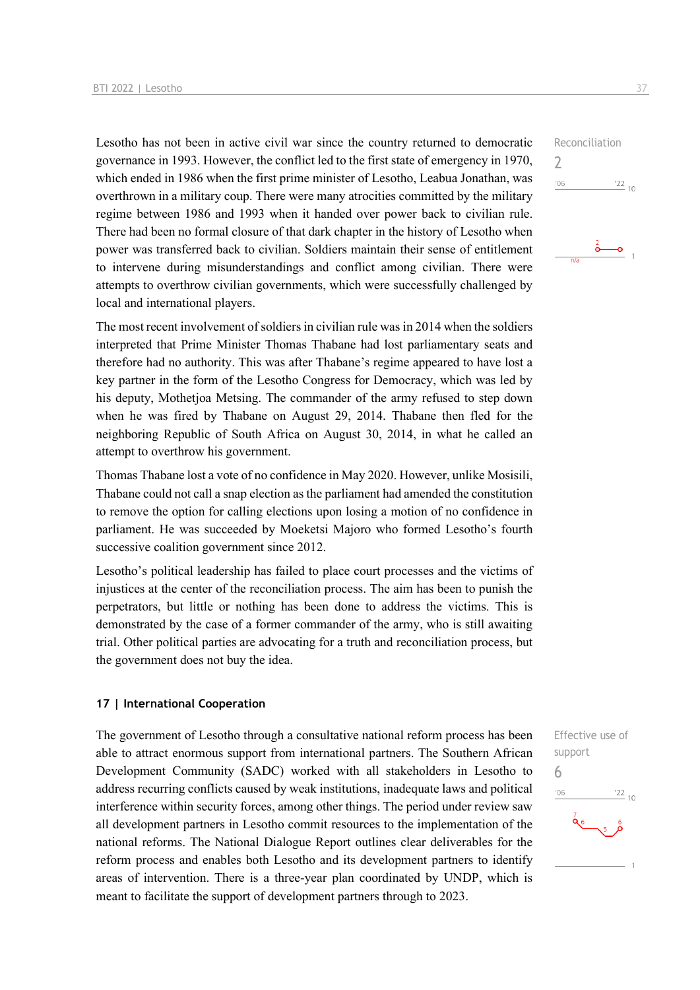Lesotho has not been in active civil war since the country returned to democratic governance in 1993. However, the conflict led to the first state of emergency in 1970, which ended in 1986 when the first prime minister of Lesotho, Leabua Jonathan, was overthrown in a military coup. There were many atrocities committed by the military regime between 1986 and 1993 when it handed over power back to civilian rule. There had been no formal closure of that dark chapter in the history of Lesotho when power was transferred back to civilian. Soldiers maintain their sense of entitlement to intervene during misunderstandings and conflict among civilian. There were attempts to overthrow civilian governments, which were successfully challenged by local and international players.

The most recent involvement of soldiers in civilian rule was in 2014 when the soldiers interpreted that Prime Minister Thomas Thabane had lost parliamentary seats and therefore had no authority. This was after Thabane's regime appeared to have lost a key partner in the form of the Lesotho Congress for Democracy, which was led by his deputy, Mothetjoa Metsing. The commander of the army refused to step down when he was fired by Thabane on August 29, 2014. Thabane then fled for the neighboring Republic of South Africa on August 30, 2014, in what he called an attempt to overthrow his government.

Thomas Thabane lost a vote of no confidence in May 2020. However, unlike Mosisili, Thabane could not call a snap election as the parliament had amended the constitution to remove the option for calling elections upon losing a motion of no confidence in parliament. He was succeeded by Moeketsi Majoro who formed Lesotho's fourth successive coalition government since 2012.

Lesotho's political leadership has failed to place court processes and the victims of injustices at the center of the reconciliation process. The aim has been to punish the perpetrators, but little or nothing has been done to address the victims. This is demonstrated by the case of a former commander of the army, who is still awaiting trial. Other political parties are advocating for a truth and reconciliation process, but the government does not buy the idea.

### **17 | International Cooperation**

The government of Lesotho through a consultative national reform process has been able to attract enormous support from international partners. The Southern African Development Community (SADC) worked with all stakeholders in Lesotho to address recurring conflicts caused by weak institutions, inadequate laws and political interference within security forces, among other things. The period under review saw all development partners in Lesotho commit resources to the implementation of the national reforms. The National Dialogue Report outlines clear deliverables for the reform process and enables both Lesotho and its development partners to identify areas of intervention. There is a three-year plan coordinated by UNDP, which is meant to facilitate the support of development partners through to 2023.

Effective use of support 6 $'06$  $\frac{22}{10}$  $\frac{7}{96}$ 

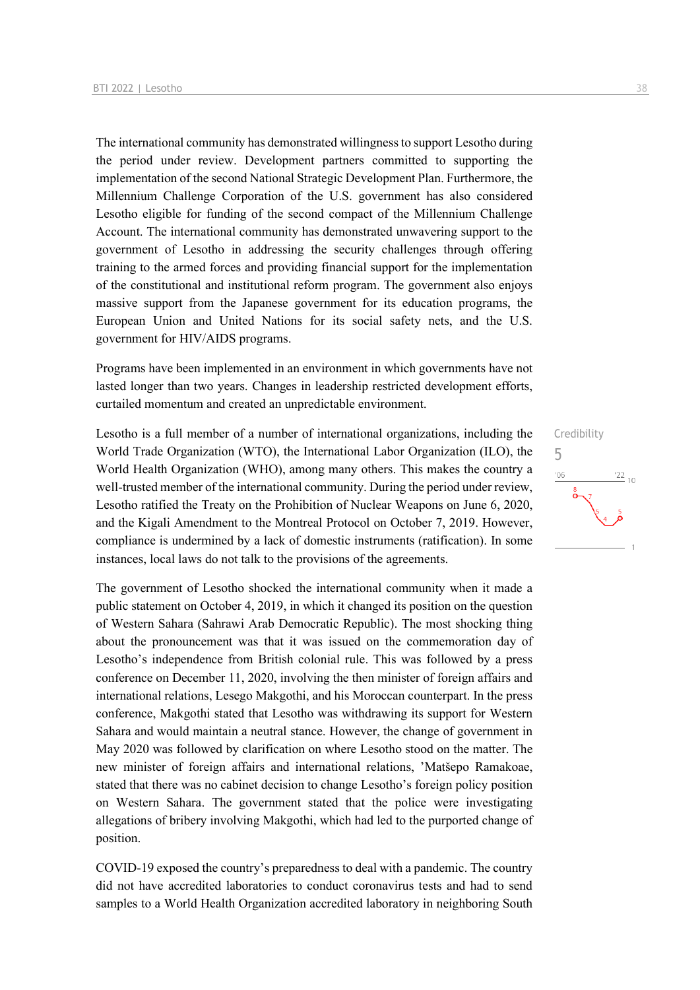The international community has demonstrated willingness to support Lesotho during the period under review. Development partners committed to supporting the implementation of the second National Strategic Development Plan. Furthermore, the Millennium Challenge Corporation of the U.S. government has also considered Lesotho eligible for funding of the second compact of the Millennium Challenge Account. The international community has demonstrated unwavering support to the government of Lesotho in addressing the security challenges through offering training to the armed forces and providing financial support for the implementation of the constitutional and institutional reform program. The government also enjoys massive support from the Japanese government for its education programs, the European Union and United Nations for its social safety nets, and the U.S. government for HIV/AIDS programs.

Programs have been implemented in an environment in which governments have not lasted longer than two years. Changes in leadership restricted development efforts, curtailed momentum and created an unpredictable environment.

Lesotho is a full member of a number of international organizations, including the World Trade Organization (WTO), the International Labor Organization (ILO), the World Health Organization (WHO), among many others. This makes the country a well-trusted member of the international community. During the period under review, Lesotho ratified the Treaty on the Prohibition of Nuclear Weapons on June 6, 2020, and the Kigali Amendment to the Montreal Protocol on October 7, 2019. However, compliance is undermined by a lack of domestic instruments (ratification). In some instances, local laws do not talk to the provisions of the agreements.

The government of Lesotho shocked the international community when it made a public statement on October 4, 2019, in which it changed its position on the question of Western Sahara (Sahrawi Arab Democratic Republic). The most shocking thing about the pronouncement was that it was issued on the commemoration day of Lesotho's independence from British colonial rule. This was followed by a press conference on December 11, 2020, involving the then minister of foreign affairs and international relations, Lesego Makgothi, and his Moroccan counterpart. In the press conference, Makgothi stated that Lesotho was withdrawing its support for Western Sahara and would maintain a neutral stance. However, the change of government in May 2020 was followed by clarification on where Lesotho stood on the matter. The new minister of foreign affairs and international relations, 'Matšepo Ramakoae, stated that there was no cabinet decision to change Lesotho's foreign policy position on Western Sahara. The government stated that the police were investigating allegations of bribery involving Makgothi, which had led to the purported change of position.

COVID-19 exposed the country's preparedness to deal with a pandemic. The country did not have accredited laboratories to conduct coronavirus tests and had to send samples to a World Health Organization accredited laboratory in neighboring South

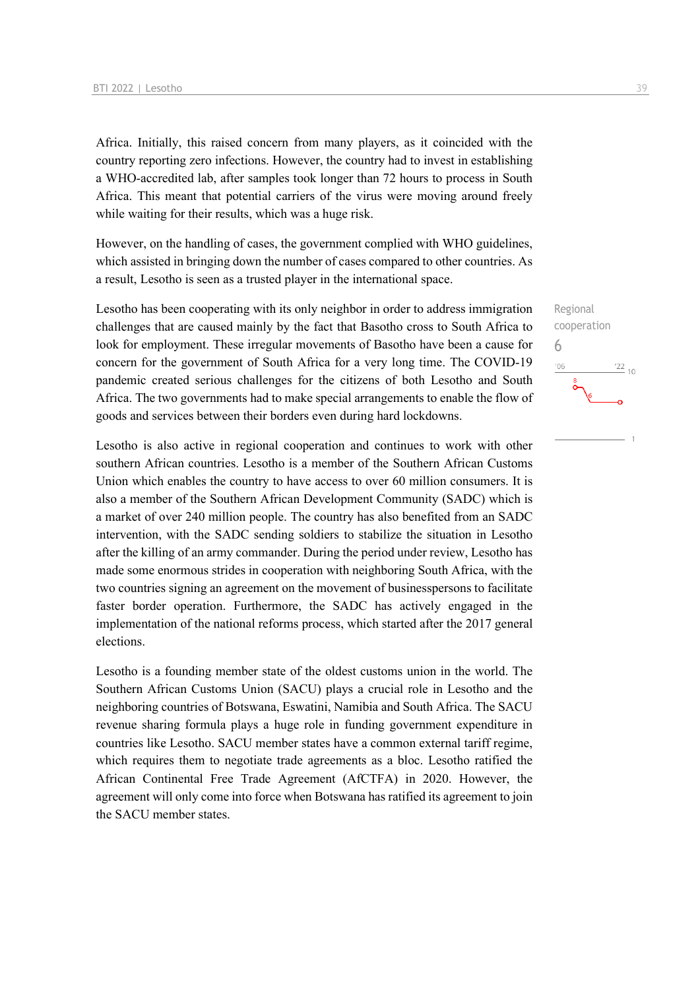Africa. Initially, this raised concern from many players, as it coincided with the country reporting zero infections. However, the country had to invest in establishing a WHO-accredited lab, after samples took longer than 72 hours to process in South Africa. This meant that potential carriers of the virus were moving around freely while waiting for their results, which was a huge risk.

However, on the handling of cases, the government complied with WHO guidelines, which assisted in bringing down the number of cases compared to other countries. As a result, Lesotho is seen as a trusted player in the international space.

Lesotho has been cooperating with its only neighbor in order to address immigration challenges that are caused mainly by the fact that Basotho cross to South Africa to look for employment. These irregular movements of Basotho have been a cause for concern for the government of South Africa for a very long time. The COVID-19 pandemic created serious challenges for the citizens of both Lesotho and South Africa. The two governments had to make special arrangements to enable the flow of goods and services between their borders even during hard lockdowns.

Lesotho is also active in regional cooperation and continues to work with other southern African countries. Lesotho is a member of the Southern African Customs Union which enables the country to have access to over 60 million consumers. It is also a member of the Southern African Development Community (SADC) which is a market of over 240 million people. The country has also benefited from an SADC intervention, with the SADC sending soldiers to stabilize the situation in Lesotho after the killing of an army commander. During the period under review, Lesotho has made some enormous strides in cooperation with neighboring South Africa, with the two countries signing an agreement on the movement of businesspersons to facilitate faster border operation. Furthermore, the SADC has actively engaged in the implementation of the national reforms process, which started after the 2017 general elections.

Lesotho is a founding member state of the oldest customs union in the world. The Southern African Customs Union (SACU) plays a crucial role in Lesotho and the neighboring countries of Botswana, Eswatini, Namibia and South Africa. The SACU revenue sharing formula plays a huge role in funding government expenditure in countries like Lesotho. SACU member states have a common external tariff regime, which requires them to negotiate trade agreements as a bloc. Lesotho ratified the African Continental Free Trade Agreement (AfCTFA) in 2020. However, the agreement will only come into force when Botswana has ratified its agreement to join the SACU member states.

Regional cooperation 6 $^{\prime}06$  $\frac{22}{10}$